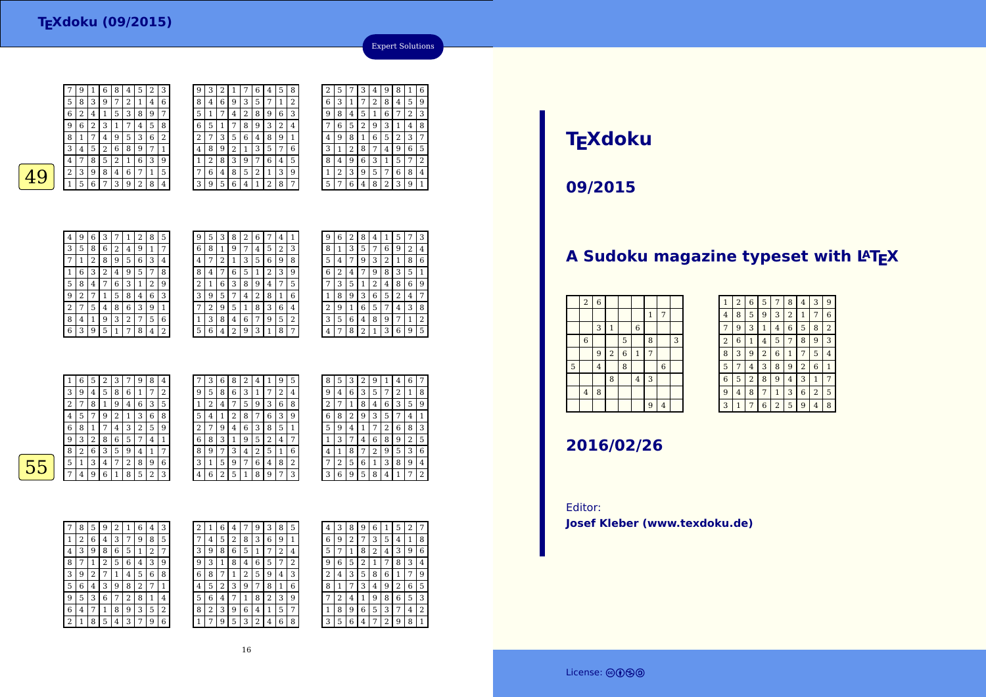| 7 | 9 | 1 | 6 | 8 | 4 | 5 | 2 | З |  |
|---|---|---|---|---|---|---|---|---|--|
| 5 | 8 | 3 | 9 | 7 | 2 | 1 | 4 | 6 |  |
| 6 | 2 | 4 | 1 | 5 | 3 | 8 | 9 | 7 |  |
| 9 | 6 | 2 | 3 | 1 | 7 | 4 | 5 | 8 |  |
| 8 | 1 | 7 | 4 | 9 | 5 | 3 | 6 | 2 |  |
| 3 | 4 | 5 | 2 | 6 | 8 | 9 | 7 | 1 |  |
| 4 | 7 | 8 | 5 | 2 | 1 | 6 | 3 | 9 |  |
| 2 | 3 | 9 | 8 | 4 | 6 | 7 | 1 | 5 |  |
|   | 5 | 6 | 7 | 3 | 9 | 2 | 8 | 4 |  |
|   |   |   |   |   |   |   |   |   |  |
|   |   |   |   |   |   |   |   |   |  |

| 9              | 3 | 2 | 1 |   | 6 | 4 | 5              | 8 | 2 | 5              |
|----------------|---|---|---|---|---|---|----------------|---|---|----------------|
| 8              | 4 | 6 | 9 | 3 | 5 | 7 | 1              | 2 | 6 | 3              |
| 5              | 1 | 7 | 4 | 2 | 8 | 9 | 6              | 3 | 9 | 8              |
| 6              | 5 | 1 | 7 | 8 | 9 | 3 | $\overline{2}$ | 4 | 7 | 6              |
| $\overline{2}$ | 7 | 3 | 5 | 6 | 4 | 8 | 9              | 1 | 4 | 9              |
| 4              | 8 | 9 | 2 | 1 | 3 | 5 | 7              | 6 | 3 | 1              |
| $\mathbf{1}$   | 2 | 8 | 3 | 9 | 7 | 6 | 4              | 5 | 8 | 4              |
| 7              | 6 | 4 | 8 | 5 | 2 | 1 | 3              | 9 | 1 | $\overline{2}$ |
| 3              | 9 | 5 | 6 | 4 | 1 | 2 | 8              | 7 | 5 | 7              |
|                |   |   |   |   |   |   |                |   |   |                |

 $\sqrt{2}$  3

| ıь | 2 <sub>1</sub> | -71 | 6 <sup>1</sup> | 3 | 9 |  |  |
|----|----------------|-----|----------------|---|---|--|--|
| 8  |                | 6   |                |   | 5 |  |  |
|    | 3              | 9   | 2              | 8 | 4 |  |  |
|    |                |     |                |   |   |  |  |
|    |                |     |                |   |   |  |  |
|    |                |     |                |   |   |  |  |

| 7              | 6 | 4 | 5              | 8 | 2 | 5              |   | З | 4 | g | 8 | 1 | 6 |
|----------------|---|---|----------------|---|---|----------------|---|---|---|---|---|---|---|
| 3              | 5 | 7 | 1              | 2 | 6 | 3              | 1 |   | 2 | 8 | 4 | 5 | 9 |
| 2              | 8 | 9 | 6              | 3 | ä | 8              | 4 | 5 | 1 | 6 | 7 | 2 | 3 |
| 8              | 9 | 3 | $\overline{2}$ | 4 |   | 6              | 5 | 2 | 9 | 3 | 1 | 4 | 8 |
| 6              | 4 | 8 | 9              | 1 | 4 | 9              | 8 | 1 | 6 | 5 | 2 | 3 | 7 |
| $\overline{1}$ | 3 | 5 | 7              | 6 | 3 | 1              | 2 | 8 | 7 | 4 | 9 | 6 | 5 |
| 9              |   | 6 | 4              | 5 | 8 | 4              | 9 | 6 | 3 | 1 | 5 | 7 | 2 |
| 5              | 2 | 1 | 3              | 9 | 1 | $\overline{2}$ | 3 | 9 | 5 | 7 | 6 | 8 | 4 |
| 4              |   | 2 | 8              |   | 5 |                | 6 | 4 | 8 | 2 | 3 | 9 | 1 |
|                |   |   |                |   |   |                |   |   |   |   |   |   |   |

| 4 | 9 | 6 | 3 |   |   | 2 | 8 | 5 |
|---|---|---|---|---|---|---|---|---|
| 3 | 5 | 8 | 6 | 2 | 4 | 9 | 1 | 7 |
|   | 1 | 2 | 8 | 9 | 5 | 6 | 3 | 4 |
|   | 6 | 3 | 2 | 4 | g | 5 | 7 | 8 |
| 5 | 8 | 4 | 7 | 6 | 3 | 1 | 2 | 9 |
| 9 | 2 |   | 1 | 5 | 8 | 4 | 6 | 3 |
| 2 |   | 5 | 4 | 8 | 6 | 3 | 9 | 1 |
| 8 | 4 | 1 | 9 | 3 | 2 |   | 5 | 6 |
|   |   |   |   |   |   |   |   |   |

 $63$ 

| 4 | 9 | 6 | З |   |   | 2 | 8 | 5 | 9      | 5 | 3 | 8      | 2 | 6 |   | 4 |                |
|---|---|---|---|---|---|---|---|---|--------|---|---|--------|---|---|---|---|----------------|
| 3 | 5 | 8 | 6 | 2 | 4 | 9 |   | 7 | 6      | 8 |   | 9      | 7 | 4 | 5 | 2 | 3              |
| 7 | 1 | 2 | 8 | 9 | 5 | 6 | 3 | 4 | 4      | ⇁ | ∠ |        | 3 | 5 | 6 | 9 | 8              |
| 1 | 6 | 3 | 2 | 4 | 9 | 5 |   | 8 | 8      | 4 |   | 6      | 5 |   | 2 | 3 | 9              |
| 5 | 8 | 4 | 7 | 6 | 3 |   | 2 | 9 | ∍<br>∠ |   | 6 | 3      | 8 | 9 | 4 | 7 | 5              |
| 9 | 2 |   |   | 5 | 8 | 4 | 6 | 3 | 3      | 9 | 5 |        | 4 | 2 | 8 | 1 | 6              |
| 2 | 7 | 5 | 4 | 8 | 6 | 3 | 9 |   |        | ∍ | 9 | 5      |   | 8 | 3 | 6 | 4              |
| 8 | 4 | 1 | 9 | 3 | 2 | 7 | 5 | 6 |        | 3 | 8 | 4      | 6 | 7 | 9 | 5 | $\overline{2}$ |
| 6 | 3 | 9 | 5 |   | 7 | 8 | 4 | 2 | 5      | 6 |   | າ<br>∠ | 9 | 3 | 1 | 8 | 7              |
|   |   |   |   |   |   |   |   |   |        |   |   |        |   |   |   |   |                |

| 9 | 6 | 2 | 8              | 4 | 1 | 5 | 7              | 3              |
|---|---|---|----------------|---|---|---|----------------|----------------|
| 8 | 1 | 3 | 5              | 7 | 6 | 9 | $\overline{2}$ | 4              |
| 5 | 4 | 7 | 9              | 3 | 2 | 1 | 8              | 6              |
| 6 | 2 | 4 |                | 9 | 8 | 3 | 5              | 1              |
|   | 3 | 5 | 1              | 2 | 4 | 8 | 6              | 9              |
|   | 8 | 9 | 3              | 6 | 5 | 2 | 4              | 7              |
| 2 | 9 | 1 | 6              | 5 | 7 | 4 | 3              | 8              |
| 3 | 5 | 6 | 4              | 8 | 9 | 7 | 1              | $\overline{2}$ |
| 4 | 7 | 8 | $\overline{2}$ | 1 | 3 | 6 | 9              | 5              |
|   |   |   |                |   |   |   |                |                |

Expert Solutions

|    |        | 6 | 5 | 2 | 3 | 7 | 9 | 8 | 4              | 7      | 3      | 6 | 8 | 2 | 4              |   | 9              | 5 |
|----|--------|---|---|---|---|---|---|---|----------------|--------|--------|---|---|---|----------------|---|----------------|---|
|    | 3      | 9 | 4 | 5 | 8 | 6 |   | 7 | $\overline{2}$ | 9      | 5      | 8 | 6 | 3 | 1              | 7 | 2              | 4 |
|    | ∍<br>۷ | 7 | 8 |   | 9 | 4 | 6 | 3 | 5              |        | ∍<br>∠ | 4 | 7 | 5 | 9              | 3 | 6              | 8 |
|    | 4      | 5 | 7 | 9 | 2 |   | 3 | 6 | 8              | 5      | 4      |   | 2 | 8 | 7              | 6 | 3              | 9 |
|    | 6      | 8 |   |   | 4 | 3 | 2 | 5 | 9              | ∍<br>∠ | 7      | 9 | 4 | 6 | 3              | 8 | 5              | 1 |
|    | 9      | 3 | 2 | 8 | 6 | 5 | 7 | 4 |                | 6      | 8      | 3 |   | 9 | 5              | 2 | $\overline{4}$ | 7 |
|    | 8      | 2 | 6 | 3 | 5 | 9 | 4 |   | 7              | 8      | 9      | 7 | 3 | 4 | $\overline{2}$ | 5 |                | 6 |
| 55 | 5      | 1 | 3 | 4 | 7 | 2 | 8 | 9 | 6              | 3      | 1      | 5 | 9 | 7 | 6              | 4 | 8              | 2 |
|    | 7      | 4 | 9 | 6 |   | 8 | 5 | 2 | 3              | 4      | 6      | ∍ | 5 | 1 | 8              | 9 | ⇁              | 3 |
|    |        |   |   |   |   |   |   |   |                |        |        |   |   |   |                |   |                |   |

|   | 8 | 5 | 3           | 2 | 9 | 1              | 4 | 6 |   |
|---|---|---|-------------|---|---|----------------|---|---|---|
| t | 9 | 4 | 6           | 3 | 5 | 7              | 2 | 1 | 8 |
|   | 2 | 7 | $\mathbf 1$ | 8 | 4 | 6              | 3 | 5 | 9 |
|   | 6 | 8 | 2           | 9 | 3 | 5              | 7 | 4 | 1 |
|   | 5 | 9 | 4           | 1 | 7 | $\overline{2}$ | 6 | 8 | 3 |
|   | 1 | 3 | 7           | 4 | 6 | 8              | 9 | 2 | 5 |
|   | 4 | 1 | 8           | 7 | 2 | 9              | 5 | 3 | 6 |
|   | 7 | 2 | 5           | 6 | 1 | 3              | 8 | 9 | 4 |
|   | 3 | 6 | 9           | 5 | 8 | 4              | 1 | 7 | 2 |
|   |   |   |             |   |   |                |   |   |   |

| 7                       | 8 | 5 | 9              | 2           | 1 | 6              | 4 | 3 |
|-------------------------|---|---|----------------|-------------|---|----------------|---|---|
| 1                       | 2 | 6 | 4              | 3           | 7 | 9              | 8 | 5 |
| 4                       | 3 | 9 | 8              | 6           | 5 | 1              | 2 | 7 |
| 8                       | 7 | 1 | $\overline{2}$ | 5           | 6 | 4              | 3 | 9 |
| 3                       | 9 | 2 | 7              | $\mathbf 1$ | 4 | 5              | 6 | 8 |
| 5                       | 6 | 4 | 3              | 9           | 8 | $\overline{2}$ | 7 | 1 |
| 9                       | 5 | 3 | 6              | 7           | 2 | 8              | 1 | 4 |
| 6                       | 4 | 7 | $\mathbf{1}$   | 8           | 9 | 3              | 5 | 2 |
| $\overline{\mathbf{c}}$ | 1 | 8 | 5              | 4           | 3 | 7              | 9 | 6 |

| 2 |   | 6 | 4 |   | 9 | З | 8 | 5 | 4 | 3 | 8 | 9 | 6 |   | 5 | 2 | 7 |
|---|---|---|---|---|---|---|---|---|---|---|---|---|---|---|---|---|---|
| 7 | 4 | 5 | 2 | 8 | 3 | 6 | 9 | 1 | 6 | 9 | 2 |   | 3 | 5 | 4 | 1 | 8 |
| 3 | 9 | 8 | 6 | 5 | 1 |   | 2 | 4 | 5 | ¬ |   | 8 | 2 | 4 | 3 | 9 | 6 |
| 9 | 3 |   | 8 | 4 | 6 | 5 |   | 2 | 9 | 6 | 5 |   |   | 7 | 8 | 3 | 4 |
| 6 | 8 | 7 |   | 2 | 5 | 9 | 4 | 3 | 2 | 4 | 3 | 5 | 8 | 6 | 1 | 7 | 9 |
| 4 | 5 | 2 | 3 | 9 | 7 | 8 |   | 6 | 8 |   | 7 | 3 | 4 | 9 | 2 | 6 | 5 |
| 5 | 6 | 4 |   |   | 8 | ∠ | 3 | 9 | ⇁ | ∍ | 4 |   | 9 | 8 | 6 | 5 | 3 |
| 8 | 2 | 3 | 9 | 6 | 4 | 1 | 5 | 7 | 1 | 8 | 9 | 6 | 5 | 3 | 7 | 4 | 2 |
| 1 | 7 | 9 | 5 | 3 | 2 | 4 | 6 | 8 | 3 | 5 | 6 | 4 | 7 | 2 | 9 | 8 | 1 |
|   |   |   |   |   |   |   |   |   |   |   |   |   |   |   |   |   |   |

# **TEXdoku**

**09/2015**

## A Sudoku magazine typeset with LAT<sub>E</sub>X

|   | $\sqrt{2}$       | $\overline{6}$ |                         |                |                |              |                  |   |
|---|------------------|----------------|-------------------------|----------------|----------------|--------------|------------------|---|
|   |                  |                |                         |                |                | $\mathbf{1}$ | 7                |   |
|   |                  | 3              | $\mathbf{1}$            |                | $\,$ 6 $\,$    |              |                  |   |
|   | $\boldsymbol{6}$ |                |                         | 5              |                | 8            |                  | 3 |
|   |                  | 9              | $\overline{\mathbf{c}}$ | $\overline{6}$ | $\,1\,$        | 7            |                  |   |
| 5 |                  | $\overline{4}$ |                         | 8              |                |              | $\boldsymbol{6}$ |   |
|   |                  |                | 8                       |                | $\overline{4}$ | 3            |                  |   |
|   | $\bf{4}$         | 8              |                         |                |                |              |                  |   |
|   |                  |                |                         |                |                | 9            | $\overline{4}$   |   |

| 1              | $\overline{2}$ | 6              | 5              | 7              | 8              | 4              | 3              | 9              |
|----------------|----------------|----------------|----------------|----------------|----------------|----------------|----------------|----------------|
| 4              | 8              | 5              | 9              | 3              | $\overline{2}$ | 1              | 7              | 6              |
| 7              | 9              | 3              | 1              | 4              | 6              | 5              | 8              | $\overline{2}$ |
| $\overline{2}$ | 6              | 1              | 4              | 5              | 7              | 8              | 9              | 3              |
| 8              | 3              | 9              | $\overline{2}$ | 6              | 1              | 7              | 5              | 4              |
| 5              | 7              | $\overline{4}$ | 3              | 8              | 9              | $\overline{2}$ | 6              | 1              |
| 6              | 5              | $\overline{c}$ | 8              | 9              | 4              | 3              | 1              | 7              |
| 9              | $\overline{4}$ | 8              | 7              | $\mathbf{1}$   | 3              | 6              | $\overline{2}$ | 5              |
| 3              | 1              | 7              | 6              | $\overline{2}$ | 5              | 9              | 4              | 8              |

### **2016/02/26**

Editor:**Josef Kleber (www.texdoku.de)**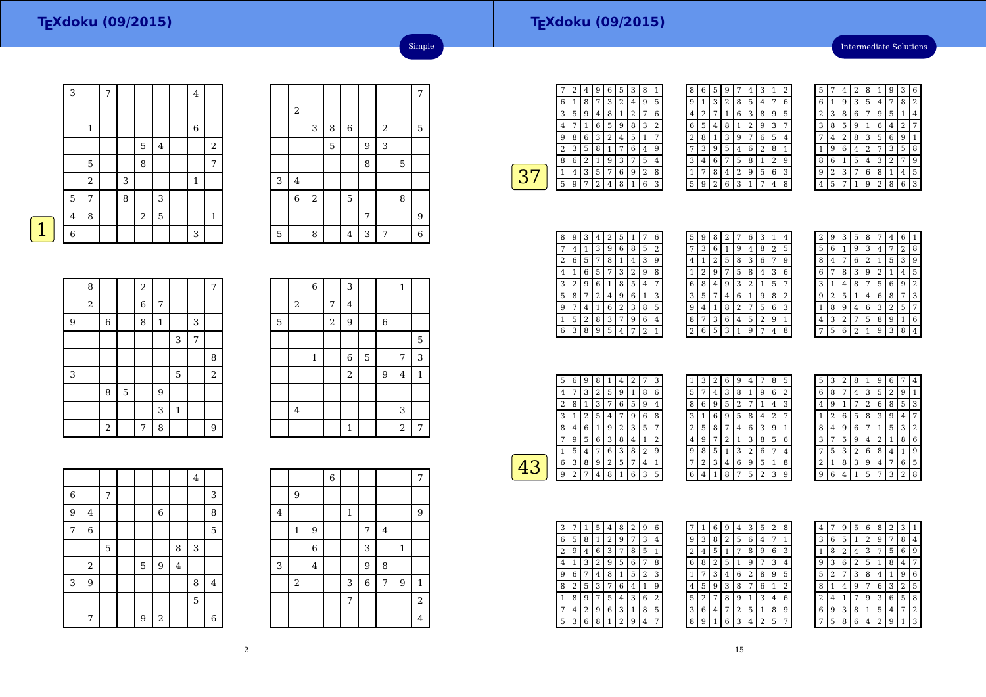Intermediate Solutions

|   | 3              |                | 7 |   |       |         | $\bf 4$      |                |
|---|----------------|----------------|---|---|-------|---------|--------------|----------------|
|   |                |                |   |   |       |         |              |                |
|   |                | $\mathbf 1$    |   |   |       |         | $\,6$        |                |
|   |                |                |   |   | 5     | $\bf 4$ |              | $\overline{2}$ |
|   |                | 5              |   |   | 8     |         |              | $\overline{7}$ |
|   |                | $\overline{2}$ |   | 3 |       |         | $\mathbf{1}$ |                |
|   | 5              | 7              |   | 8 |       | 3       |              |                |
|   | $\overline{4}$ | 8              |   |   | $\,2$ | 5       |              | $\mathbf 1$    |
| 1 | 6              |                |   |   |       |         | 3            |                |
|   |                |                |   |   |       |         |              |                |

|   |          |                |   |                |   |                         |   | 7 |
|---|----------|----------------|---|----------------|---|-------------------------|---|---|
|   | $\,2$    |                |   |                |   |                         |   |   |
|   |          | 3              | 8 | 6              |   | $\overline{\mathbf{c}}$ |   | 5 |
|   |          |                | 5 |                | 9 | 3                       |   |   |
|   |          |                |   |                | 8 |                         | 5 |   |
| 3 | $\bf{4}$ |                |   |                |   |                         |   |   |
|   | 6        | $\overline{c}$ |   | 5              |   |                         | 8 |   |
|   |          |                |   |                | 7 |                         |   | 9 |
| 5 |          | 8              |   | $\overline{4}$ | 3 | 7                       |   | 6 |

Simple

|   | 8                |       |   | $\overline{a}$ |             |              |   | 7              |
|---|------------------|-------|---|----------------|-------------|--------------|---|----------------|
|   | $\boldsymbol{2}$ |       |   | 6              | 7           |              |   |                |
| 9 |                  | 6     |   | 8              | $\mathbf 1$ |              | 3 |                |
|   |                  |       |   |                |             | 3            | 7 |                |
|   |                  |       |   |                |             |              |   | 8              |
| 3 |                  |       |   |                |             | 5            |   | $\overline{2}$ |
|   |                  | 8     | 5 |                | 9           |              |   |                |
|   |                  |       |   |                | 3           | $\mathbf{1}$ |   |                |
|   |                  | $\,2$ |   | 7              | 8           |              |   | $\overline{9}$ |

|             |                  | $\,$ 6 $\,$ |                  | 3            |             |                  | $\mathbf{1}$            |              |
|-------------|------------------|-------------|------------------|--------------|-------------|------------------|-------------------------|--------------|
|             | $\boldsymbol{2}$ |             | $\sqrt{ }$       | $\bf 4$      |             |                  |                         |              |
| $\mathbf 5$ |                  |             | $\boldsymbol{2}$ | $9\,$        |             | $\,$ 6 $\,$      |                         |              |
|             |                  |             |                  |              |             |                  |                         | 5            |
|             |                  | $\,1\,$     |                  | $\,$ 6 $\,$  | $\mathbf 5$ |                  | 7                       | 3            |
|             |                  |             |                  | $\,2$        |             | $\boldsymbol{9}$ | $\bf 4$                 | $\mathbf{1}$ |
|             |                  |             |                  |              |             |                  |                         |              |
|             | $\bf 4$          |             |                  |              |             |                  | 3                       |              |
|             |                  |             |                  | $\mathbf{1}$ |             |                  | $\overline{\mathbf{c}}$ | 7            |

|   |                         |   |   |            |                | $\overline{4}$ |   |
|---|-------------------------|---|---|------------|----------------|----------------|---|
| 6 |                         | 7 |   |            |                |                | 3 |
| 9 | $\overline{\mathbf{4}}$ |   |   | $\,6$      |                |                | 8 |
| 7 | 6                       |   |   |            |                |                | 5 |
|   |                         | 5 |   |            | 8              | 3              |   |
|   | $\,2$                   |   | 5 | 9          | $\overline{4}$ |                |   |
| 3 | 9                       |   |   |            |                | 8              | 4 |
|   |                         |   |   |            |                | 5              |   |
|   | 7                       |   | 9 | $\sqrt{2}$ |                |                | 6 |

|                         |                  |                | 6 |             |                |                |              | 7              |
|-------------------------|------------------|----------------|---|-------------|----------------|----------------|--------------|----------------|
|                         | 9                |                |   |             |                |                |              |                |
| $\overline{\mathbf{4}}$ |                  |                |   | $\mathbf 1$ |                |                |              | 9              |
|                         | $\mathbf 1$      | 9              |   |             | $\overline{7}$ | $\overline{4}$ |              |                |
|                         |                  | $\overline{6}$ |   |             | 3              |                | $\mathbf{1}$ |                |
| 3                       |                  | 4              |   |             | 9              | 8              |              |                |
|                         | $\boldsymbol{2}$ |                |   | 3           | $\overline{6}$ | 7              | 9            | $\mathbf{1}$   |
|                         |                  |                |   | 7           |                |                |              | $\overline{2}$ |
|                         |                  |                |   |             |                |                |              | $\overline{4}$ |

÷

÷

|                | 2 | 4 | g              | 6 | 5 | 3 | 8              | 1              |
|----------------|---|---|----------------|---|---|---|----------------|----------------|
| 6              | 1 | 8 | 7              | 3 | 2 | 4 | 9              | 5              |
| 3              | 5 | 9 | 4              | 8 | 1 | 2 | 7              | 6              |
| 4              |   | 1 | 6              | 5 | 9 | 8 | 3              | $\overline{2}$ |
| g              | 8 | 6 | 3              | 2 | 4 | 5 | 1              | 7              |
| $\overline{c}$ | 3 | 5 | 8              | 1 | 7 | 6 | 4              | 9              |
| 8              | 6 | 2 | 1              | 9 | 3 |   | 5              | 4              |
| 1              | 4 | 3 | 5              | 7 | 6 | 9 | $\overline{2}$ | 8              |
| 5              | 9 | 7 | $\overline{2}$ | 4 | 8 | 1 | 6              | 3              |
|                |   |   |                |   |   |   |                |                |

| 8 | 6 | 5 | 9              | 7              | 4 | 3 | 1              | $\overline{2}$ |
|---|---|---|----------------|----------------|---|---|----------------|----------------|
| 9 | 1 | 3 | $\overline{2}$ | 8              | 5 | 4 | 7              | 6              |
| 4 | 2 |   | 1              | 6              | 3 | 8 | 9              | 5              |
| 6 | 5 | 4 | 8              | 1              | 2 | 9 | 3              | 7              |
| 2 | 8 | 1 | 3              | 9              | 7 | 6 | 5              | 4              |
|   | 3 | 9 | 5              | 4              | 6 | 2 | 8              | 1              |
| 3 | 4 | 6 | 7              | 5              | 8 | 1 | $\overline{2}$ | 9              |
| 1 | 7 | 8 | 4              | $\overline{2}$ | 9 | 5 | 6              | 3              |
| 5 | 9 | 2 | 6              | 3              | 1 | 7 | 4              | 8              |

| 5 |   | 4 | 2 | 8 |                | g | 3 | 6 |
|---|---|---|---|---|----------------|---|---|---|
| 6 | 1 | 9 | 3 | 5 | 4              |   | 8 | 2 |
| 2 | 3 | 8 | 6 |   | 9              | 5 | 1 | 4 |
| 3 | 8 | 5 | 9 | 1 | 6              | 4 | 2 | 7 |
| 7 | 4 | 2 | 8 | 3 | 5              | 6 | 9 | 1 |
| 1 | 9 | 6 | 4 | 2 | 7              | 3 | 5 | 8 |
| 8 | 6 | 1 | 5 | 4 | 3              | 2 | 7 | g |
| 9 | 2 | 3 | 7 | 6 | 8              | 1 | 4 | 5 |
| 4 | 5 |   |   | 9 | $\overline{2}$ | 8 | 6 | 3 |

| 8 | 9 | 3 | 4 | 2 | 5 | 1              |   | 6 |  |
|---|---|---|---|---|---|----------------|---|---|--|
| 7 | 4 | 1 | 3 | 9 | 6 | 8              | 5 | 2 |  |
| 2 | 6 | 5 | 7 | 8 | 1 | 4              | 3 | 9 |  |
| 4 |   | 6 | 5 | 7 | 3 | $\overline{c}$ | 9 | 8 |  |
| 3 | 2 | 9 | 6 | 1 | 8 | 5              | 4 | 7 |  |
| 5 | 8 |   | 2 | 4 | 9 | 6              | 1 | 3 |  |
| 9 | 7 | 4 | 1 | 6 | 2 | 3              | 8 | 5 |  |
| 1 | 5 | 2 | 8 | 3 | 7 | 9              | 6 | 4 |  |
| 6 | 3 | 8 | 9 | 5 | 4 | 7              | 2 | 1 |  |

| 5 | 9 | 8 | 2 | 7              | 6 | 3 | 1              | 4            |
|---|---|---|---|----------------|---|---|----------------|--------------|
| 7 | 3 | 6 | 1 | 9              | 4 | 8 | $\overline{2}$ | 5            |
| 4 | 1 | 2 | 5 | 8              | 3 | 6 | 7              | g            |
| 1 | 2 | 9 |   | 5              | 8 | 4 | 3              | 6            |
| 6 | 8 | 4 | 9 | 3              | 2 | 1 | 5              | 7            |
| 3 | 5 |   | 4 | 6              | 1 | 9 | 8              | 2            |
| 9 | 4 | 1 | 8 | 2              | 7 | 5 | 6              | 3            |
| 8 | 7 | 3 | 6 | 4              | 5 | 2 | 9              | $\mathbf{1}$ |
| 2 | 6 | 5 | 3 | $\overline{1}$ | 9 | 7 | 4              | 8            |
|   |   |   |   |                |   |   |                |              |

| $\overline{c}$ | 9 | 3 | 5 | 8              | 7 | 4 | 6              |   |
|----------------|---|---|---|----------------|---|---|----------------|---|
| 5              | 6 | 1 | 9 | 3              | 4 | 7 | $\overline{2}$ | 8 |
| 8              | 4 | 7 | 6 | $\overline{2}$ | 1 | 5 | 3              | 9 |
| 6              | 7 | 8 | 3 | 9              | 2 | 1 | 4              | 5 |
| 3              | 1 | 4 | 8 | 7              | 5 | 6 | 9              | 2 |
| g              | 2 | 5 | 1 | 4              | 6 | 8 | 7              | 3 |
| 1              | 8 | 9 | 4 | 6              | 3 | 2 | 5              | 7 |
| 4              | 3 | 2 |   | 5              | 8 | 9 | 1              | 6 |
|                | 5 | 6 | 2 | 1              | 9 | 3 | 8              | 4 |

| 5 | 6              | 9 | 8 | 1 | $\overline{\mathbf{4}}$ | $\overline{2}$ |   | 3 |  |
|---|----------------|---|---|---|-------------------------|----------------|---|---|--|
| 4 | 7              | 3 | 2 | 5 | 9                       | 1              | 8 | 6 |  |
| 2 | 8              | 1 | 3 | 7 | 6                       | 5              | 9 | 4 |  |
| 3 | 1              | 2 | 5 | 4 | 7                       | 9              | 6 | 8 |  |
| 8 | 4              | 6 | 1 | 9 | 2                       | 3              | 5 | 7 |  |
|   | 9              | 5 | 6 | 3 | 8                       | 4              | 1 | 2 |  |
| 1 | 5              | 4 | 7 | 6 | 3                       | 8              | 2 | 9 |  |
| 6 | 3              | 8 | 9 | 2 | 5                       | 7              | 4 | 1 |  |
| q | $\overline{2}$ | 7 | 4 | 8 | 1                       | 6              | 3 | 5 |  |
|   |                |   |   |   |                         |                |   |   |  |

|   | 3 | 2 | 6 | 9              | 4            |                | 8 | 5 |
|---|---|---|---|----------------|--------------|----------------|---|---|
| 5 | 7 | 4 | 3 | 8              | $\mathbf{1}$ | 9              | 6 | 2 |
| 8 | 6 | 9 | 5 | $\overline{c}$ | 7            | 1              | 4 | 3 |
| 3 | 1 | 6 | 9 | 5              | 8            | 4              | 2 | 7 |
| 2 | 5 | 8 | 7 | 4              | 6            | 3              | 9 | 1 |
| 4 | 9 | 7 | 2 | 1              | 3            | 8              | 5 | 6 |
| 9 | 8 | 5 | 1 | 3              | 2            | 6              | 7 | 4 |
|   | 2 | 3 | 4 | 6              | 9            | 5              | 1 | 8 |
| 6 | 4 | 1 | 8 | 7              | 5            | $\overline{2}$ | 3 | 9 |

| 5              | 3              | 2 | 8              | 1 | g | 6 |                | 4 |
|----------------|----------------|---|----------------|---|---|---|----------------|---|
| 6              | 8              | 7 | 4              | 3 | 5 | 2 | 9              | 1 |
| 4              | 9              | 1 |                | 2 | 6 | 8 | 5              | 3 |
| 1              | $\overline{c}$ | 6 | 5              | 8 | 3 | g | 4              |   |
| 8              | 4              | 9 | 6              |   | 1 | 5 | 3              | 2 |
| 3              | 7              | 5 | 9              | 4 | 2 | 1 | 8              | 6 |
| 7              | 5              | 3 | $\overline{2}$ | 6 | 8 | 4 | 1              | 9 |
| $\overline{2}$ | 1              | 8 | 3              | 9 | 4 | 7 | 6              | 5 |
| Q              | 6              | 4 |                | 5 |   | 3 | $\overline{2}$ | 8 |

| 3 |   | 1 | 5 | 4 | 8 | 2 | 9              | 6 |  |
|---|---|---|---|---|---|---|----------------|---|--|
| 6 | 5 | 8 | 1 | 2 | 9 | 7 | 3              | 4 |  |
| 2 | 9 | 4 | 6 | 3 | 7 | 8 | 5              | 1 |  |
| 4 |   | 3 | 2 | 9 | 5 | 6 | 7              | 8 |  |
| 9 | 6 | 7 | 4 | 8 | 1 | 5 | $\overline{2}$ | 3 |  |
| 8 | 2 | 5 | 3 | 7 | 6 | 4 | 1              | 9 |  |
|   | 8 | 9 | 7 | 5 | 4 | 3 | 6              | 2 |  |
| 7 | 4 | 2 | 9 | 6 | 3 | 1 | 8              | 5 |  |
| 5 | 3 | 6 | 8 | 1 | 2 | 9 | 4              | 7 |  |

|   |                | 6 | 9              | 4 | 3 | 5 | $\overline{2}$ | 8              |
|---|----------------|---|----------------|---|---|---|----------------|----------------|
| g | 3              | 8 | $\overline{2}$ | 5 | 6 | 4 | 7              | 1              |
| 2 | 4              | 5 | 1              | 7 | 8 | 9 | 6              | 3              |
| 6 | 8              | 2 | 5              | 1 | 9 |   | 3              | 4              |
| 1 | 7              | 3 | 4              | 6 | 2 | 8 | 9              | 5              |
| 4 | 5              | 9 | 3              | 8 | 7 | 6 | 1              | $\overline{2}$ |
| 5 | $\overline{2}$ | 7 | 8              | 9 | 1 | 3 | 4              | 6              |
| 3 | 6              | 4 | 7              | 2 | 5 | 1 | 8              | 9              |
| 8 | 9              | 1 | 6              | 3 | 4 | 2 | 5              |                |

| 4 | 7 | 9 | 5 | 6            | 8              | $\overline{2}$ | 3              |                |
|---|---|---|---|--------------|----------------|----------------|----------------|----------------|
| 3 | 6 | 5 | 1 | 2            | 9              | 7              | 8              | 4              |
| 1 | 8 | 2 | 4 | 3            | 7              | 5              | 6              | 9              |
| g | 3 | 6 | 2 | 5            | 1              | 8              | 4              | 7              |
| 5 | 2 | 7 | 3 | 8            | 4              | 1              | 9              | 6              |
| 8 | 1 | 4 | 9 | 7            | 6              | 3              | $\overline{2}$ | 5              |
| 2 | 4 | 1 | 7 | 9            | 3              | 6              | 5              | 8              |
| 6 | 9 | 3 | 8 | $\mathbf{1}$ | 5              | 4              | 7              | $\overline{2}$ |
|   | 5 | 8 | 6 | 4            | $\overline{2}$ | 9              | 1              | 3              |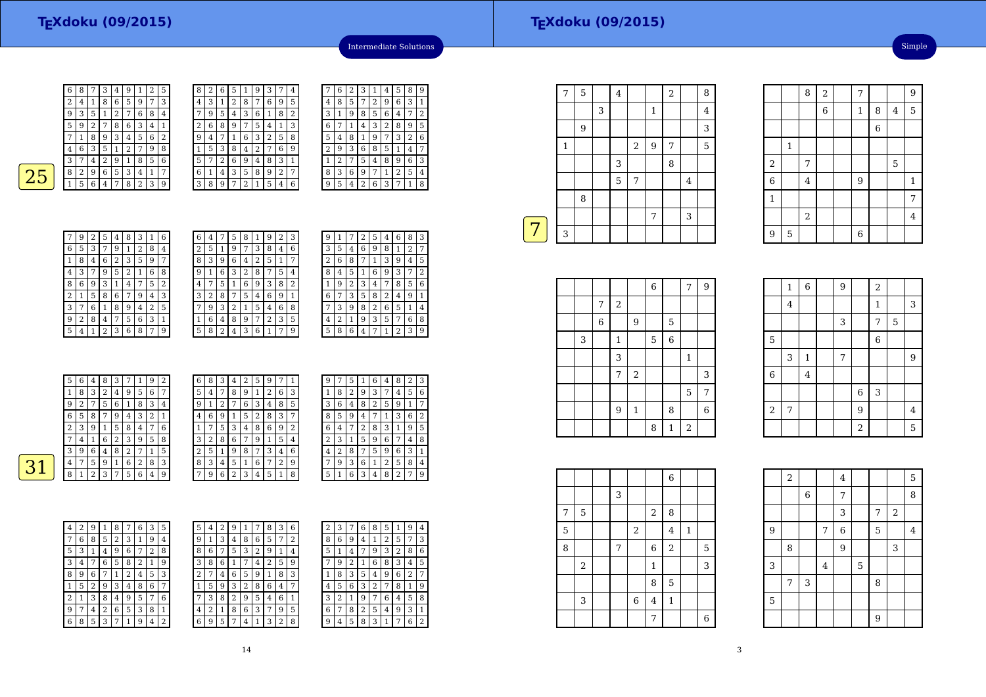| 6 | 8 |   | З | 4 | 9 |   | 2 | 5              |
|---|---|---|---|---|---|---|---|----------------|
| 2 | 4 | 1 | 8 | 6 | 5 | 9 | 7 | 3              |
| 9 | 3 | 5 | 1 | 2 |   | 6 | 8 | 4              |
| 5 | 9 | 2 |   | 8 | 6 | 3 | 4 | $\mathbf{1}$   |
|   | 1 | 8 | 9 | 3 | 4 | 5 | 6 | $\overline{2}$ |
| 4 | 6 | 3 | 5 | 1 | 2 |   | 9 | 8              |
| 3 |   | 4 | 2 | 9 | 1 | 8 | 5 | 6              |
| 8 | 2 | 9 | 6 | 5 | 3 | 4 | 1 | 7              |
|   | 5 | 6 | 4 | 7 | 8 | 2 | 3 | 9              |
|   |   |   |   |   |   |   |   |                |

| 8              | 2 | 6 | 5 | 1 | 9 | 3 | 7              | 4 |
|----------------|---|---|---|---|---|---|----------------|---|
| 4              | 3 | 1 | 2 | 8 | 7 | 6 | 9              | 5 |
|                | 9 | 5 | 4 | 3 | 6 | 1 | 8              | 2 |
| $\overline{c}$ | 6 | 8 | 9 | 7 | 5 | 4 | 1              | 3 |
| 9              | 4 | 7 | 1 | 6 | 3 | 2 | 5              | 8 |
| 1              | 5 | 3 | 8 | 4 | 2 | 7 | 6              | 9 |
| 5              | 7 | 2 | 6 | 9 | 4 | 8 | 3              | 1 |
| 6              | 1 | 4 | 3 | 5 | 8 | 9 | $\overline{2}$ | 7 |
| 3              | 8 | 9 | 7 | 2 | 1 | 5 | 4              | 6 |

| l |   | 6 | 2 | З | 1 | 4              | 5 | 8 | 9 |
|---|---|---|---|---|---|----------------|---|---|---|
| 5 | 4 | 8 | 5 | 7 | 2 | 9              | 6 | 3 | 1 |
| 2 | 3 | 1 | 9 | 8 | 5 | 6              | 4 | 7 | 2 |
| 3 | 6 | 7 | 1 | 4 | 3 | $\overline{2}$ | 8 | 9 | 5 |
| 3 | 5 | 4 | 8 | 1 | 9 | 7              | 3 | 2 | 6 |
| € | 2 | 9 | 3 | 6 | 8 | 5              | 1 | 4 | 7 |
|   | 1 | 2 | 7 | 5 | 4 | 8              | 9 | 6 | 3 |
| 7 | 8 | 3 | 6 | 9 | 7 | 1              | 2 | 5 | 4 |
| ć | 9 | 5 | 4 | 2 | 6 | 3              | 7 | 1 | 8 |
|   |   |   |   |   |   |                |   |   |   |

Intermediate Solutions

 $\boxed{31}$ 

|   | 9 | 2 | 5              | 4 | 8 | 3              | $\mathbf{1}$ | 6 |
|---|---|---|----------------|---|---|----------------|--------------|---|
| 6 | 5 | 3 | 7              | 9 | 1 | $\overline{2}$ | 8            | 4 |
| 1 | 8 | 4 | 6              | 2 | 3 | 5              | 9            | 7 |
| 4 | 3 |   | 9              | 5 | 2 | 1              | 6            | 8 |
| 8 | 6 | 9 | 3              | 1 | 4 | 7              | 5            | 2 |
| 2 | 1 | 5 | 8              | 6 | 7 | 9              | 4            | 3 |
| 3 | 7 | 6 | 1              | 8 | 9 | 4              | 2            | 5 |
| g | 2 | 8 | 4              | 7 | 5 | 6              | 3            | 1 |
| 5 | 4 | 1 | $\overline{2}$ | 3 | 6 | 8              | 7            | 9 |

| $\overline{c}$<br>3<br>8<br>5<br>6<br>9<br>7<br>4<br>1<br>8<br>2<br>3<br>6<br>5<br>9<br>1<br>7<br>4<br>9<br>3<br>2<br>8<br>5<br>7<br>1<br>6<br>4<br>$\overline{4}$<br>2<br>6<br>3<br>8<br>9<br>7<br>5<br>1<br>3<br>6<br>2<br>5<br>9<br>8<br>1<br>4<br>8<br>7<br>2<br>9<br>3<br>6<br>5<br>1<br>4<br>6<br>8<br>2<br>3<br>5<br>9<br>1<br>7<br>4<br>5<br>8<br>3<br>6<br>9<br>$\overline{2}$<br>4<br>7 | 6 | 4 | 5 | 8 | 1 | 9 | 2 | 3 |
|---------------------------------------------------------------------------------------------------------------------------------------------------------------------------------------------------------------------------------------------------------------------------------------------------------------------------------------------------------------------------------------------------|---|---|---|---|---|---|---|---|
|                                                                                                                                                                                                                                                                                                                                                                                                   |   |   |   |   |   |   |   |   |
|                                                                                                                                                                                                                                                                                                                                                                                                   |   |   |   |   |   |   |   |   |
|                                                                                                                                                                                                                                                                                                                                                                                                   |   |   |   |   |   |   |   |   |
|                                                                                                                                                                                                                                                                                                                                                                                                   |   |   |   |   |   |   |   |   |
|                                                                                                                                                                                                                                                                                                                                                                                                   |   |   |   |   |   |   |   |   |
|                                                                                                                                                                                                                                                                                                                                                                                                   |   |   |   |   |   |   |   |   |
|                                                                                                                                                                                                                                                                                                                                                                                                   |   |   |   |   |   |   |   |   |
|                                                                                                                                                                                                                                                                                                                                                                                                   |   |   |   |   |   |   |   |   |

| 9 | 1 |   | 2 | 5 | 4              | 6              | 8 | 3 |
|---|---|---|---|---|----------------|----------------|---|---|
| 3 | 5 | 4 | 6 | 9 | 8              | 1              | 2 | 7 |
| 2 | 6 | 8 | 7 | 1 | 3              | 9              | 4 | 5 |
| 8 | 4 | 5 | 1 | 6 | 9              | 3              | 7 | 2 |
| 1 | 9 | 2 | 3 | 4 | 7              | 8              | 5 | 6 |
| 6 |   | 3 | 5 | 8 | $\overline{c}$ | 4              | 9 | 1 |
|   | 3 | 9 | 8 | 2 | 6              | 5              | 1 | 4 |
| 4 | 2 | 1 | 9 | 3 | 5              | 7              | 6 | 8 |
| 5 | 8 | 6 | 4 | 7 | 1              | $\overline{c}$ | 3 | 9 |

| 5      | 6 | 4 | 8      | 3 | 7 | 1 | 9 | 2 | 6              | 8 | 3      | 4 | 2 | 5 | 9      | 7 |                |
|--------|---|---|--------|---|---|---|---|---|----------------|---|--------|---|---|---|--------|---|----------------|
|        | 8 | 3 | ר<br>z | 4 | 9 | 5 | 6 | 7 | 5              | 4 | ¬      | 8 | 9 |   | ר<br>ı | 6 | 3              |
| 9      | 2 | 7 | 5      | 6 | 1 | 8 | 3 | 4 | 9              |   | ∍<br>∠ | 7 | 6 | 3 | 4      | 8 | 5              |
| 6      | 5 | 8 |        | 9 | 4 | 3 | 2 |   | $\overline{4}$ | 6 | 9      |   | 5 | 2 | 8      | 3 | 7              |
| c<br>∠ | 3 | 9 |        | 5 | 8 | 4 | 7 | 6 |                |   | 5      | 3 | 4 | 8 | 6      | 9 | $\overline{2}$ |
| 7      | 4 | T | 6      | 2 | 3 | 9 | 5 | 8 | 3              | 2 | 8      | 6 | 7 | 9 |        | 5 | 4              |
| 3      | 9 | 6 | 4      | 8 | 2 | 7 |   | 5 | $\overline{2}$ | 5 |        | 9 | 8 |   | З      | 4 | 6              |
| 4      | 7 | 5 | 9      |   | 6 | 2 | 8 | 3 | 8              | 3 | 4      | 5 | 1 | 6 |        | 2 | 9              |
| 8      |   | 2 | 3      | ┑ | 5 | 6 | 4 | 9 | 7              | 9 | 6      | 2 | 3 | 4 | 5      |   | 8              |

| 9 |   | 5              | 1 | 6              | 4 | 8 | 2 | 3 |
|---|---|----------------|---|----------------|---|---|---|---|
| 1 | 8 | 2              | 9 | 3              | 7 | 4 | 5 | 6 |
| 3 | 6 | $\overline{4}$ | 8 | $\overline{c}$ | 5 | 9 | 1 | 7 |
| 8 | 5 | 9              | 4 | 7              | 1 | 3 | 6 | 2 |
| 6 | 4 |                | 2 | 8              | 3 | 1 | 9 | 5 |
| 2 | 3 | 1              | 5 | 9              | 6 | 7 | 4 | 8 |
| 4 | 2 | 8              | 7 | 5              | 9 | 6 | 3 | 1 |
|   | 9 | 3              | 6 | 1              | 2 | 5 | 8 | 4 |
| 5 | 1 | 6              | 3 | 4              | 8 | 2 | 7 | 9 |

| 4 | $\overline{2}$ | 9 | 1 | 8 | 7            | 6              | 3              | 5 |  |
|---|----------------|---|---|---|--------------|----------------|----------------|---|--|
| 7 | 6              | 8 | 5 | 2 | 3            | 1              | 9              | 4 |  |
| 5 | 3              | 1 | 4 | 9 | 6            | 7              | $\overline{2}$ | 8 |  |
| 3 | 4              | 7 | 6 | 5 | 8            | $\overline{2}$ | 1              | 9 |  |
| 8 | 9              | 6 | 7 | 1 | 2            | 4              | 5              | 3 |  |
| 1 | 5              | 2 | 9 | 3 | 4            | 8              | 6              | 7 |  |
| 2 | 1              | 3 | 8 | 4 | 9            | 5              | 7              | 6 |  |
| 9 | 7              | 4 | 2 | 6 | 5            | 3              | 8              | 1 |  |
| 6 | 8              | 5 | 3 | 7 | $\mathbf{1}$ | 9              | 4              | 2 |  |

| 5 | 4 | 2 | 9 |   |   | 8 | 3 | 6 | 2 | 3 |   |
|---|---|---|---|---|---|---|---|---|---|---|---|
| 9 | 1 | 3 | 4 | 8 | 6 | 5 | 7 | 2 | 8 | 6 | g |
| 8 | 6 | 7 | 5 | 3 | 2 | 9 | 1 | 4 | 5 | 1 | 4 |
| 3 | 8 | 6 | 1 | 7 | 4 | 2 | 5 | 9 | 7 | 9 | 2 |
| 2 | 7 | 4 | 6 | 5 | 9 | 1 | 8 | 3 | 1 | 8 | 3 |
| 1 | 5 | 9 | 3 | 2 | 8 | 6 | 4 | 7 | 4 | 5 | 6 |
| 7 | 3 | 8 | 2 | 9 | 5 | 4 | 6 | 1 | 3 | 2 | 1 |
| 4 | 2 | 1 | 8 | 6 | 3 | 7 | 9 | 5 | 6 | 7 | 8 |
| 6 | 9 | 5 | 7 | 4 | 1 | 3 | 2 | 8 | 9 | 4 | 5 |

| 2 | 3 |   | 6 | 8 | 5 | 1              | 9 | 4 |
|---|---|---|---|---|---|----------------|---|---|
| 8 | 6 | 9 | 4 | 1 | 2 | 5              | 7 | 3 |
| 5 | 1 | 4 | 7 | 9 | 3 | $\overline{c}$ | 8 | 6 |
| 7 | 9 | 2 | 1 | 6 | 8 | 3              | 4 | 5 |
| 1 | 8 | 3 | 5 | 4 | 9 | 6              | 2 | 7 |
| 4 | 5 | 6 | 3 | 2 | 7 | 8              | 1 | 9 |
| 3 | 2 | 1 | 9 | 7 | 6 | 4              | 5 | 8 |
| 6 | 7 | 8 | 2 | 5 | 4 | 9              | 3 | 1 |
| 9 | 4 | 5 | 8 | 3 | 1 | 7              | 6 | 2 |

|   | 7       | 5 |   | $\bf 4$        |                |              | $\sqrt{2}$ |                | 8              |
|---|---------|---|---|----------------|----------------|--------------|------------|----------------|----------------|
|   |         |   | 3 |                |                | $\mathbf{1}$ |            |                | $\overline{4}$ |
|   |         | 9 |   |                |                |              |            |                | 3              |
|   | $\,1\,$ |   |   |                | $\overline{2}$ | $9\,$        | 7          |                | 5              |
|   |         |   |   | 3              |                |              | 8          |                |                |
|   |         |   |   | $\overline{5}$ | 7              |              |            | $\overline{4}$ |                |
|   |         | 8 |   |                |                |              |            |                |                |
|   |         |   |   |                |                | 7            |            | 3              |                |
| 7 | 3       |   |   |                |                |              |            |                |                |
|   |         |   |   |                |                |              |            |                |                |

|   |             |              |              | $\overline{6}$ |                | 7              | $\overline{9}$ |
|---|-------------|--------------|--------------|----------------|----------------|----------------|----------------|
|   | 7           | $\sqrt{2}$   |              |                |                |                |                |
|   | $\,$ 6 $\,$ |              | 9            |                | 5              |                |                |
| 3 |             | $\mathbf{1}$ |              | $\mathbf 5$    | $\overline{6}$ |                |                |
|   |             | 3            |              |                |                | $\mathbf{1}$   |                |
|   |             | 7            | $\,2$        |                |                |                | 3              |
|   |             |              |              |                |                | 5              | 7              |
|   |             | 9            | $\mathbf{1}$ |                | 8              |                | 6              |
|   |             |              |              | 8              | 1              | $\overline{2}$ |                |

|             | 1              | 6            | 9 |                | 2              |   |                |
|-------------|----------------|--------------|---|----------------|----------------|---|----------------|
|             | $\overline{4}$ |              |   |                | $\mathbf 1$    |   | 3              |
|             |                |              | 3 |                | 7              | 5 |                |
| $\mathbf 5$ |                |              |   |                | $\overline{6}$ |   |                |
|             | 3              | $\mathbf{1}$ | 7 |                |                |   | 9              |
| $\,$ 6 $\,$ |                | 4            |   |                |                |   |                |
|             |                |              |   | $\overline{6}$ | 3              |   |                |
| $\,2$       | 7              |              |   | 9              |                |   | $\overline{4}$ |
|             |                |              |   | $\overline{a}$ |                |   | $\overline{5}$ |

 $\frac{8}{2}$ 

1

<sup>4</sup>

2

 $9 \mid 5 \mid$   $\mid$   $\mid$  6

2

6

1

9

6 $\begin{array}{c|c} 6 & 1 \end{array}$ 

 $2 \mid 7 \mid$  5

 $\frac{1}{2}$   $\frac{1}{2}$   $\frac{1}{2}$   $\frac{1}{2}$   $\frac{1}{2}$   $\frac{1}{2}$   $\frac{1}{2}$   $\frac{1}{2}$   $\frac{1}{2}$   $\frac{1}{2}$   $\frac{1}{2}$   $\frac{1}{2}$   $\frac{1}{2}$   $\frac{1}{2}$   $\frac{1}{2}$   $\frac{1}{2}$   $\frac{1}{2}$   $\frac{1}{2}$   $\frac{1}{2}$   $\frac{1}{2}$   $\frac{1}{2}$   $\frac{1}{2}$ 

 $\begin{array}{|c|c|c|c|c|c|}\n\hline\n2 & 7 & 9 \\
\hline\n\end{array}$ 

 $\frac{4}{9}$  1

 $\frac{2}{4}$   $\frac{1}{4}$ 

 $1 \mid 8 \mid 4 \mid 5$ 6

Simple

|   |             |   |        |                  | $\overline{6}$ |              |   |
|---|-------------|---|--------|------------------|----------------|--------------|---|
|   |             | 3 |        |                  |                |              |   |
| 7 | $\mathbf 5$ |   |        | $\boldsymbol{2}$ | 8              |              |   |
| 5 |             |   | $\,2$  |                  | $\overline{4}$ | $\mathbf{1}$ |   |
| 8 |             | 7 |        | $\,$ 6 $\,$      | $\overline{2}$ |              | 5 |
|   | $\,2$       |   |        | $\,1\,$          |                |              | 3 |
|   |             |   |        | 8                | 5              |              |   |
|   | 3           |   | $\,$ 6 | $\overline{4}$   | $\mathbf{1}$   |              |   |
|   |             |   |        | 7                |                |              | 6 |

|   | $\,2$ |            |                | $\overline{\mathbf{4}}$ |   |   |                  | 5              |
|---|-------|------------|----------------|-------------------------|---|---|------------------|----------------|
|   |       | $\sqrt{6}$ |                | 7                       |   |   |                  | 8              |
|   |       |            |                | 3                       |   | 7 | $\boldsymbol{2}$ |                |
| 9 |       |            | 7              | $\overline{6}$          |   | 5 |                  | $\overline{4}$ |
|   | 8     |            |                | 9                       |   |   | 3                |                |
| 3 |       |            | $\overline{4}$ |                         | 5 |   |                  |                |
|   | 7     | 3          |                |                         |   | 8 |                  |                |
| 5 |       |            |                |                         |   |   |                  |                |
|   |       |            |                |                         |   | 9 |                  |                |

14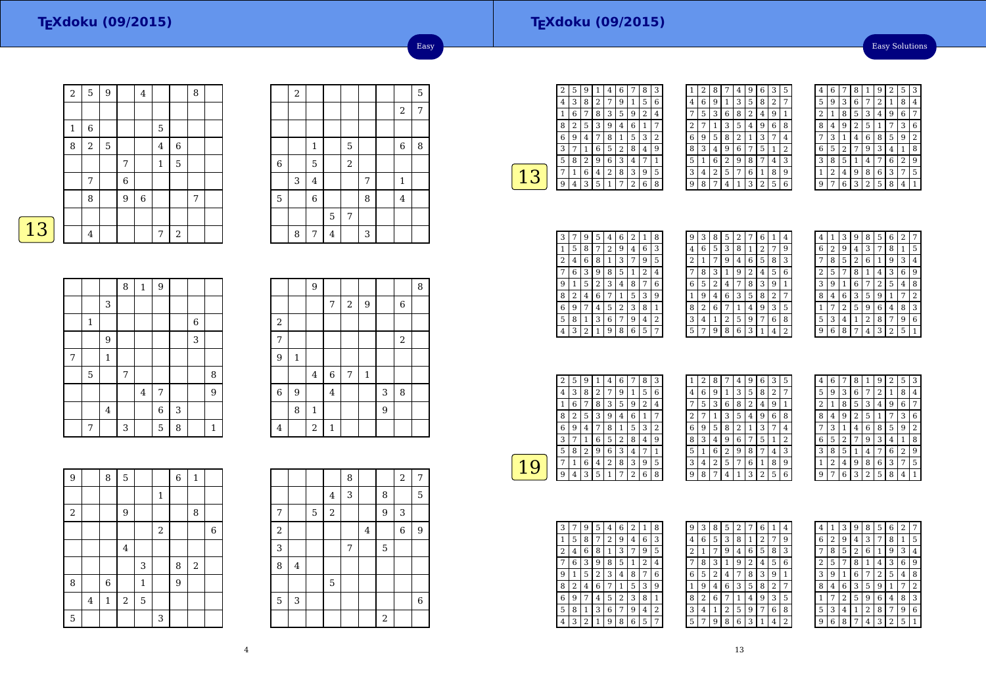Easy Solutions

|   | $\overline{\mathbf{c}}$ | 5              | 9           |                | 4      |                |                  | 8 |  |
|---|-------------------------|----------------|-------------|----------------|--------|----------------|------------------|---|--|
|   |                         |                |             |                |        |                |                  |   |  |
|   | $\mathbf{1}$            | 6              |             |                |        | $\mathbf 5$    |                  |   |  |
|   | 8                       | $\sqrt{2}$     | $\mathbf 5$ |                |        | $\overline{4}$ | 6                |   |  |
|   |                         |                |             | 7              |        | $\mathbf{1}$   | 5                |   |  |
|   |                         | 7              |             | $\overline{6}$ |        |                |                  |   |  |
|   |                         | 8              |             | 9              | $\,$ 6 |                |                  | 7 |  |
|   |                         |                |             |                |        |                |                  |   |  |
| 3 |                         | $\overline{4}$ |             |                |        | 7              | $\boldsymbol{2}$ |   |  |

|             | $\,2$ |                |   |                |   |                | 5 |
|-------------|-------|----------------|---|----------------|---|----------------|---|
|             |       |                |   |                |   | $\sqrt{2}$     | 7 |
|             |       |                |   |                |   |                |   |
|             |       | $\mathbf 1$    |   | 5              |   | $\,$ 6 $\,$    | 8 |
| $\,$ 6 $\,$ |       | 5              |   | $\,2$          |   |                |   |
|             | 3     | $\bf 4$        |   |                | 7 | $\mathbf{1}$   |   |
| 5           |       | $\overline{6}$ |   |                | 8 | $\overline{4}$ |   |
|             |       |                | 5 | $\overline{7}$ |   |                |   |
|             | 8     | 7              | 4 |                | 3 |                |   |

Easy

|--|

|   |             |         | 8 | $\,1\,$        | 9              |   |       |              |
|---|-------------|---------|---|----------------|----------------|---|-------|--------------|
|   |             | 3       |   |                |                |   |       |              |
|   | $\mathbf 1$ |         |   |                |                |   | $\,6$ |              |
|   |             | 9       |   |                |                |   | 3     |              |
| 7 |             | $\,1\,$ |   |                |                |   |       |              |
|   | 5           |         | 7 |                |                |   |       | 8            |
|   |             |         |   | $\overline{4}$ | 7              |   |       | 9            |
|   |             | $\bf 4$ |   |                | $\overline{6}$ | 3 |       |              |
|   | 7           |         | 3 |                | 5              | 8 |       | $\mathbf{1}$ |

|                |              | 9              |                |            |             |                |                | 8 |
|----------------|--------------|----------------|----------------|------------|-------------|----------------|----------------|---|
|                |              |                | $\overline{7}$ | $\sqrt{2}$ | 9           |                | 6              |   |
| $\sqrt{2}$     |              |                |                |            |             |                |                |   |
| $\overline{7}$ |              |                |                |            |             |                | $\overline{2}$ |   |
| 9              | $\mathbf{1}$ |                |                |            |             |                |                |   |
|                |              | $\overline{4}$ | $\overline{6}$ | 7          | $\mathbf 1$ |                |                |   |
| $\overline{6}$ | 9            |                | $\overline{4}$ |            |             | 3              | 8              |   |
|                | 8            | $\mathbf 1$    |                |            |             | $\overline{9}$ |                |   |
| 4              |              | $\overline{a}$ | $\mathbf 1$    |            |             |                |                |   |

| $\overline{9}$ |                | 8              | 5              |              |              | 6 | $\mathbf 1$ |                  |
|----------------|----------------|----------------|----------------|--------------|--------------|---|-------------|------------------|
|                |                |                |                |              | $\mathbf{1}$ |   |             |                  |
| $\,2$          |                |                | 9              |              |              |   | 8           |                  |
|                |                |                |                |              | $\,2$        |   |             | $\boldsymbol{6}$ |
|                |                |                | $\overline{4}$ |              |              |   |             |                  |
|                |                |                |                | 3            |              | 8 | $\,2$       |                  |
| 8              |                | $\overline{6}$ |                | $\mathbf{1}$ |              | 9 |             |                  |
|                | $\overline{4}$ | $\mathbf 1$    | $\sqrt{2}$     | $\mathbf 5$  |              |   |             |                  |
| 5              |                |                |                |              | 3            |   |             |                  |

|                |                         |             |                | 8 |                         |                  | $\overline{c}$   | 7              |
|----------------|-------------------------|-------------|----------------|---|-------------------------|------------------|------------------|----------------|
|                |                         |             | $\overline{4}$ | 3 |                         | 8                |                  | 5              |
| 7              |                         | $\mathbf 5$ | $\,2$          |   |                         | 9                | 3                |                |
| $\overline{a}$ |                         |             |                |   | $\overline{\mathbf{4}}$ |                  | $\boldsymbol{6}$ | 9              |
| 3              |                         |             |                | 7 |                         | 5                |                  |                |
| 8              | $\overline{\mathbf{4}}$ |             |                |   |                         |                  |                  |                |
|                |                         |             | 5              |   |                         |                  |                  |                |
| 5              | 3                       |             |                |   |                         |                  |                  | $\overline{6}$ |
|                |                         |             |                |   |                         | $\boldsymbol{2}$ |                  |                |

| 2 | 5 | g |   | 4 | 6 |   | 8 | 3 |
|---|---|---|---|---|---|---|---|---|
| 4 | 3 | 8 | 2 | 7 | 9 | 1 | 5 | 6 |
|   | 6 | 7 | 8 | 3 | 5 | 9 | 2 | 4 |
| 8 | 2 | 5 | З | g | 4 | 6 | 1 |   |
| 6 | 9 | 4 | 7 | 8 | 1 | 5 | 3 | 2 |
| 3 | 7 | 1 | 6 | 5 | 2 | 8 | 4 | g |
| 5 | 8 | 2 | g | 6 | 3 | 4 | 7 | 1 |
|   | 1 | 6 | 4 | 2 | 8 | 3 | 9 | 5 |
| q | 4 | 3 | 5 | 1 | 7 | 2 | 6 | 8 |
|   |   |   |   |   |   |   |   |   |

| 1 | 2 | 8 |   | 4 | 9 | 6              | 3              | 5            |
|---|---|---|---|---|---|----------------|----------------|--------------|
| 4 | 6 | 9 | 1 | 3 | 5 | 8              | $\overline{2}$ | 7            |
|   | 5 | 3 | 6 | 8 | 2 | 4              | 9              | $\mathbf{1}$ |
| 2 | 7 | 1 | 3 | 5 | 4 | 9              | 6              | 8            |
| 6 | 9 | 5 | 8 | 2 | 1 | 3              | 7              | 4            |
| 8 | 3 | 4 | 9 | 6 | 7 | 5              | 1              | 2            |
| 5 | 1 | 6 | 2 | 9 | 8 | 7              | 4              | 3            |
| 3 | 4 | 2 | 5 | 7 | 6 | 1              | 8              | 9            |
| q | 8 | 7 | 4 | 1 | 3 | $\overline{2}$ | 5              | 6            |

| 4 | 6 |   | 8              | 1              | 9 | 2 | 5 | 3 |
|---|---|---|----------------|----------------|---|---|---|---|
| 5 | 9 | 3 | 6              | 7              | 2 | 1 | 8 | 4 |
| 2 | 1 | 8 | 5              | 3              | 4 | 9 | 6 |   |
| 8 | 4 | 9 | $\overline{2}$ | 5              | 1 | 7 | 3 | 6 |
| 7 | 3 | 1 | 4              | 6              | 8 | 5 | 9 | 2 |
| 6 | 5 | 2 | 7              | 9              | 3 | 4 | 1 | 8 |
| 3 | 8 | 5 | 1              | 4              | 7 | 6 | 2 | 9 |
| 1 | 2 | 4 | 9              | 8              | 6 | 3 | 7 | 5 |
| g |   | 6 | 3              | $\overline{2}$ | 5 | 8 | 4 |   |

| 3 |   | 9              | 5 | 4 | 6 | 2 | 1              | 8              |
|---|---|----------------|---|---|---|---|----------------|----------------|
| 1 | 5 | 8              | 7 | 2 | 9 | 4 | 6              | 3              |
| 2 | 4 | 6              | 8 | 1 | 3 |   | 9              | 5              |
|   | 6 | 3              | g | 8 | 5 | 1 | $\overline{2}$ | 4              |
| 9 | 1 | 5              | 2 | 3 | 4 | 8 | 7              | 6              |
| 8 | 2 | 4              | 6 |   | 1 | 5 | 3              | 9              |
| 6 | 9 |                | 4 | 5 | 2 | З | 8              | 1              |
| 5 | 8 | 1              | 3 | 6 | 7 | 9 | 4              | $\overline{2}$ |
|   | 3 | $\overline{2}$ | 1 | 9 | 8 | 6 | 5              | 7              |

| 9 | 3 | 8 | 5 | 2 |   | 6 | 1              | 4              |
|---|---|---|---|---|---|---|----------------|----------------|
| 4 | 6 | 5 | 3 | 8 | 1 | 2 | 7              | 9              |
| 2 | 1 | 7 | 9 | 4 | 6 | 5 | 8              | 3              |
|   | 8 | 3 | 1 | 9 | 2 | 4 | 5              | 6              |
| 6 | 5 | 2 | 4 | 7 | 8 | 3 | 9              | 1              |
| 1 | 9 | 4 | 6 | 3 | 5 | 8 | $\overline{2}$ | 7              |
| 8 | 2 | 6 | 7 | 1 | 4 | 9 | 3              | 5              |
| 3 | 4 | 1 | 2 | 5 | 9 | 7 | 6              | 8              |
| 5 |   | 9 | 8 | 6 | 3 |   | 4              | $\overline{2}$ |
|   |   |   |   |   |   |   |                |                |

| 4 | 1 | 3 | 9 | 8 | 5 | 6              | $\overline{2}$ |   |
|---|---|---|---|---|---|----------------|----------------|---|
| 6 | 2 | 9 | 4 | 3 | 7 | 8              | 1              | 5 |
| 7 | 8 | 5 | 2 | 6 | 1 | 9              | 3              | 4 |
| 2 | 5 |   | 8 | 1 | 4 | 3              | 6              | 9 |
| 3 | 9 | 1 | 6 | 7 | 2 | 5              | 4              | 8 |
| 8 | 4 | 6 | 3 | 5 | 9 | 1              |                | 2 |
| 1 |   | 2 | 5 | 9 | 6 | $\overline{4}$ | 8              | 3 |
| 5 | 3 | 4 | 1 | 2 | 8 | 7              | 9              | 6 |
| 9 | 6 | 8 |   | 4 | 3 | $\overline{2}$ | 5              |   |
|   |   |   |   |   |   |                |                |   |

| 2 | 5 | 9 |   | 4 | 6 |   | 8 | 3 |  |
|---|---|---|---|---|---|---|---|---|--|
| 4 | 3 | 8 | 2 | 7 | 9 | 1 | 5 | 6 |  |
|   | 6 |   | 8 | 3 | 5 | 9 | 2 | 4 |  |
| 8 | 2 | 5 | 3 | 9 | 4 | 6 | 1 |   |  |
| 6 | 9 | 4 | 7 | 8 | 1 | 5 | 3 | 2 |  |
| 3 |   | 1 | 6 | 5 | 2 | 8 | 4 | 9 |  |
| 5 | 8 | 2 | 9 | 6 | 3 | 4 | 7 | 1 |  |
|   | 1 | 6 | 4 | 2 | 8 | 3 | 9 | 5 |  |
| 9 | 4 | 3 | 5 | 1 | 7 | 2 | 6 | 8 |  |

| 1 | 2 | 8 |   | 4 | 9 | 6              | 3 | 5 |  |
|---|---|---|---|---|---|----------------|---|---|--|
| 4 | 6 | 9 | 1 | 3 | 5 | 8              | 2 | 7 |  |
|   | 5 | 3 | 6 | 8 | 2 | 4              | 9 | 1 |  |
| 2 | 7 | 1 | 3 | 5 | 4 | 9              | 6 | 8 |  |
| 6 | 9 | 5 | 8 | 2 | 1 | 3              | 7 | 4 |  |
| 8 | 3 | 4 | 9 | 6 | 7 | 5              | 1 | 2 |  |
| 5 | 1 | 6 | 2 | 9 | 8 | 7              | 4 | 3 |  |
| 3 | 4 | 2 | 5 | 7 | 6 | 1              | 8 | 9 |  |
| g | 8 | 7 | 4 | 1 | 3 | $\overline{2}$ | 5 | 6 |  |

| 4     | 6 | 7 | 8 | 1              | 9 | 2 | 5              | 3 |
|-------|---|---|---|----------------|---|---|----------------|---|
| 5     | 9 | 3 | 6 | 7              | 2 | 1 | 8              | 4 |
| 2     | 1 | 8 | 5 | 3              | 4 | 9 | 6              | 7 |
| 8     | 4 | 9 | 2 | 5              | 1 | 7 | 3              | 6 |
| 7     | 3 | 1 | 4 | 6              | 8 | 5 | 9              | 2 |
| $\,6$ | 5 | 2 |   | 9              | 3 | 4 | 1              | 8 |
| 3     | 8 | 5 | 1 | 4              |   | 6 | $\overline{2}$ | 9 |
| 1     | 2 | 4 | 9 | 8              | 6 | 3 | 7              | 5 |
| q     |   | 6 | 3 | $\overline{2}$ | 5 | 8 | 4              | 1 |

| 3 |   | 9 | 5 | 4 | 6 | 2 | 1 | 8 |
|---|---|---|---|---|---|---|---|---|
|   | 5 | 8 | 7 | 2 | 9 | 4 | 6 | 3 |
| 2 | 4 | 6 | 8 | 1 | 3 | 7 | 9 | 5 |
|   | 6 | 3 | 9 | 8 | 5 | 1 | 2 | 4 |
| 9 | 1 | 5 | 2 | 3 | 4 | 8 | 7 | 6 |
| 8 | 2 | 4 | 6 | 7 | 1 | 5 | 3 | 9 |
| 6 | 9 | 7 | 4 | 5 | 2 | 3 | 8 | 1 |
| 5 | 8 | 1 | 3 | 6 | 7 | 9 | 4 | 2 |
| 4 | 3 | 2 |   | 9 | 8 | 6 | 5 | 7 |

| 9 | 3 | 8 | 5              | $\overline{2}$ |   | 6 | 1              | 4 |
|---|---|---|----------------|----------------|---|---|----------------|---|
| 4 | 6 | 5 | 3              | 8              | 1 | 2 | 7              | 9 |
| 2 | 1 | 7 | 9              | 4              | 6 | 5 | 8              | 3 |
| 7 | 8 | 3 | 1              | 9              | 2 | 4 | 5              | 6 |
| 6 | 5 | 2 | 4              | 7              | 8 | 3 | 9              | 1 |
| 1 | 9 | 4 | 6              | 3              | 5 | 8 | $\overline{2}$ |   |
| 8 | 2 | 6 | 7              | 1              | 4 | 9 | 3              | 5 |
| 3 | 4 | 1 | $\overline{2}$ | 5              | 9 | 7 | 6              | 8 |
| 5 | 7 | 9 | 8              | 6              | 3 | 1 | 4              |   |

| 4 | 1 | 3 | 9              | 8 | 5 | 6 | 2 | 7              |
|---|---|---|----------------|---|---|---|---|----------------|
| 6 | 2 | 9 | 4              | 3 | 7 | 8 | 1 | 5              |
| 7 | 8 | 5 | $\overline{c}$ | 6 | 1 | 9 | 3 | 4              |
| 2 | 5 | 7 | 8              | 1 | 4 | 3 | 6 | 9              |
| 3 | 9 | 1 | 6              | 7 | 2 | 5 | 4 | 8              |
| 8 | 4 | 6 | 3              | 5 | 9 | 1 | 7 | $\overline{c}$ |
| 1 | 7 | 2 | 5              | 9 | 6 | 4 | 8 | 3              |
| 5 | 3 | 4 | 1              | 2 | 8 | 7 | 9 | 6              |
| 9 | 6 | 8 | 7              | 4 | 3 | 2 | 5 | 1              |
|   |   |   |                |   |   |   |   |                |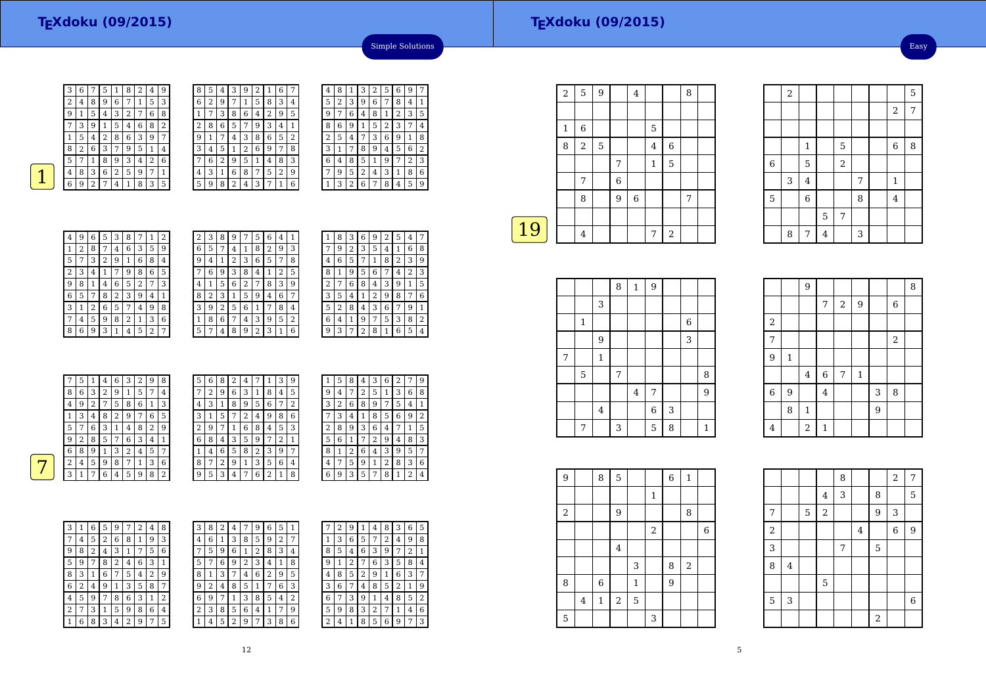| 3 | 6 |                | 5 | 1              | 8 | 2 | 4 | 9              |
|---|---|----------------|---|----------------|---|---|---|----------------|
| 2 | 4 | 8              | 9 | 6              | 7 | 1 | 5 | 3              |
| 9 | 1 | 5              | 4 | 3              | 2 | 7 | 6 | 8              |
|   | З | 9              | 1 | 5              | 4 | 6 | 8 | $\overline{2}$ |
| 1 | 5 | 4              | 2 | 8              | 6 | 3 | 9 | 7              |
| 8 | 2 | 6              | 3 | 7              | 9 | 5 | 1 | 4              |
| 5 | 7 | 1              | 8 | 9              | 3 | 4 | 2 | 6              |
| 4 | 8 | 3              | 6 | $\overline{2}$ | 5 | 9 | 7 | 1              |
| 6 | g | $\overline{2}$ |   | 4              | 1 | 8 | 3 | 5              |

| 8 | 5 | 4 | 3              | 9 | 2 | 1              | 6              | 7 |
|---|---|---|----------------|---|---|----------------|----------------|---|
| 6 | 2 | 9 | 7              | 1 | 5 | 8              | 3              | 4 |
| 1 | 7 | 3 | 8              | 6 | 4 | $\overline{2}$ | 9              | 5 |
| 2 | 8 | 6 | 5              | 7 | 9 | 3              | 4              | 1 |
| 9 | 1 | 7 | 4              | 3 | 8 | 6              | 5              | 2 |
| 3 | 4 | 5 | 1              | 2 | 6 | 9              | 7              | 8 |
|   | 6 | 2 | 9              | 5 | 1 | 4              | 8              | 3 |
| 4 | 3 | 1 | 6              | 8 | 7 | 5              | $\overline{2}$ | 9 |
| 5 | 9 | 8 | $\overline{2}$ | 4 | 3 | 7              | 1              | 6 |

| 4 | 8 | 1 | З | 2 | 5              | 6 | 9 | 7 |
|---|---|---|---|---|----------------|---|---|---|
| 5 | 2 | 3 | 9 | 6 | 7              | 8 | 4 | 1 |
| 9 | 7 | 6 | 4 | 8 | 1              | 2 | 3 | 5 |
| 8 | 6 | 9 | 1 | 5 | $\overline{c}$ | 3 | 7 | 4 |
| 2 | 5 | 4 | 7 | 3 | 6              | 9 | 1 | 8 |
| 3 | 1 | 7 | 8 | 9 | 4              | 5 | 6 | 2 |
| 6 | 4 | 8 | 5 | 1 | 9              | 7 | 2 | 3 |
| 7 | 9 | 5 | 2 | 4 | 3              | 1 | 8 | 6 |
|   | 3 | 2 | 6 | 7 | 8              | 4 | 5 | 9 |

Simple Solutions

| 4 | 9 | 6 | 5 | 3 | 8 | 7 | $\mathbf{1}$   | 2 |
|---|---|---|---|---|---|---|----------------|---|
| 1 | 2 | 8 | 7 | 4 | 6 | 3 | 5              | 9 |
| 5 | 7 | 3 | 2 | 9 | 1 | 6 | 8              | 4 |
| 2 | 3 | 4 | 1 | 7 | 9 | 8 | 6              | 5 |
| 9 | 8 | 1 | 4 | 6 | 5 | 2 | 7              | 3 |
| 6 | 5 | 7 | 8 | 2 | 3 | 9 | 4              | 1 |
| 3 | 1 | 2 | 6 | 5 | 7 | 4 | 9              | 8 |
| 7 | 4 | 5 | 9 | 8 | 2 | 1 | 3              | 6 |
| 8 | 6 | 9 | 3 | 1 | 4 | 5 | $\overline{2}$ | 7 |

| 2 | 3 | 8 | 9              |   | 5 | 6 | 4              | 1 |
|---|---|---|----------------|---|---|---|----------------|---|
| 6 | 5 | 7 | 4              | 1 | 8 | 2 | 9              | 3 |
| 9 | 4 | 1 | $\overline{c}$ | 3 | 6 | 5 | 7              | 8 |
|   | 6 | 9 | 3              | 8 | 4 | 1 | $\overline{2}$ | 5 |
| 4 | 1 | 5 | 6              | 2 | 7 | 8 | 3              | 9 |
| 8 | 2 | 3 | 1              | 5 | 9 | 4 | 6              | 7 |
| 3 | 9 | 2 | 5              | 6 | 1 | 7 | 8              | 4 |
| 1 | 8 | 6 | 7              | 4 | 3 | 9 | 5              | 2 |
| 5 | 7 | 4 | 8              | 9 | 2 | 3 | 1              | 6 |

| 6<br>2<br>3<br>5<br>9<br>1<br>4<br>2<br>3<br>5<br>8<br>6<br>1<br>4<br>2<br>6<br>9<br>8<br>5 | 8              |
|---------------------------------------------------------------------------------------------|----------------|
|                                                                                             |                |
|                                                                                             | 9              |
| 4<br>1                                                                                      | 3              |
| 6<br>8<br>3<br>2<br>9<br>4<br>1                                                             | 5              |
| 2<br>3<br>8<br>5<br>9<br>4<br>7<br>1                                                        | 6              |
| 3<br>8<br>2<br>6<br>9<br>5<br>7<br>4                                                        | 1              |
| 6<br>3<br>8<br>5<br>1<br>9<br>7<br>4                                                        | $\overline{2}$ |
| 8<br>5<br>3<br>6<br>2<br>ä<br>1<br>7                                                        | 4              |

| 7 | 5 | 1      | 4 | 6 | 3              | 2 | 9 | 8 | 5 | 6 | 8 | 2 | 4 |   |   | 3 | 9 |
|---|---|--------|---|---|----------------|---|---|---|---|---|---|---|---|---|---|---|---|
| 8 | 6 | 3      | 2 | 9 |                | 5 | 7 | 4 | ⇁ | 2 | 9 | 6 | 3 | 1 | 8 | 4 | 5 |
| 4 | 9 | ∍<br>∠ |   | 5 | 8              | 6 | 1 | 3 | 4 | 3 |   | 8 | 9 | 5 | 6 |   | 2 |
|   | 3 | 4      | 8 | 2 | 9              | 7 | 6 | 5 | 3 |   | 5 | 7 | 2 | 4 | 9 | 8 | 6 |
| 5 | 7 | 6      | 3 |   | $\overline{4}$ | 8 | 2 | 9 | 2 | 9 |   |   | 6 | 8 | 4 | 5 | 3 |
| 9 | 2 | 8      | 5 | 7 | 6              | 3 | 4 |   | 6 | 8 | 4 | 3 | 5 | 9 |   | ר |   |
| 6 | 8 | 9      |   | 3 | 2              | 4 | 5 | ⇁ |   | 4 | 6 | 5 | 8 | 2 | 3 | 9 | 7 |
| 2 | 4 | 5      | 9 | 8 | 7              |   | 3 | 6 | 8 | 7 | 2 | 9 | 1 | 3 | 5 | 6 | 4 |
| 3 |   | 7      | 6 | 4 | 5              | 9 | 8 | 2 | 9 | 5 | 3 | 4 | 7 | 6 | ∍ |   | 8 |
|   |   |        |   |   |                |   |   |   |   |   |   |   |   |   |   |   |   |

| 1 | 5 | 8 | 4              | 3              | 6 | 2            | 7 | 9 |
|---|---|---|----------------|----------------|---|--------------|---|---|
| 9 | 4 | 7 | $\overline{2}$ | 5              | 1 | 3            | 6 | 8 |
| 3 | 2 | 6 | 8              | 9              | 7 | 5            | 4 | 1 |
|   | 3 | 4 | $\mathbf{1}$   | 8              | 5 | 6            | 9 | 2 |
| 2 | 8 | 9 | 3              | 6              | 4 | 7            | 1 | 5 |
| 5 | 6 | 1 | 7              | $\overline{c}$ | 9 | 4            | 8 | 3 |
| 8 | 1 | 2 | 6              | 4              | 3 | 9            | 5 | 7 |
| 4 | 7 | 5 | 9              | 1              | 2 | 8            | 3 | 6 |
| 6 | 9 | 3 | 5              | 7              | 8 | $\mathbf{1}$ | 2 | 4 |

| 3 | 1 | 6 | 5              | 9 | 7 | $\overline{2}$ | 4 | 8 |  |
|---|---|---|----------------|---|---|----------------|---|---|--|
| 7 | 4 | 5 | $\overline{2}$ | 6 | 8 | 1              | 9 | 3 |  |
| 9 | 8 | 2 | 4              | 3 | 1 | 7              | 5 | 6 |  |
| 5 | 9 | 7 | 8              | 2 | 4 | 6              | 3 | 1 |  |
| 8 | 3 | 1 | 6              | 7 | 5 | 4              | 2 | 9 |  |
| 6 | 2 | 4 | 9              | 1 | 3 | 5              | 8 | 7 |  |
| 4 | 5 | 9 | 7              | 8 | 6 | 3              | 1 | 2 |  |
| 2 | 7 | 3 | 1              | 5 | 9 | 8              | 6 | 4 |  |
|   | 6 | 8 | 3              | 4 | 2 | 9              | 7 | 5 |  |

| 3              | 8 | 2 | 4              | 7              | 9 | 6 | 5 | 1 |  |
|----------------|---|---|----------------|----------------|---|---|---|---|--|
| $\overline{4}$ | 6 | 1 | 3              | 8              | 5 | 9 | 2 | 7 |  |
| 7              | 5 | 9 | 6              | 1              | 2 | 8 | 3 | 4 |  |
| 5              | 7 | 6 | 9              | $\overline{c}$ | 3 | 4 | 1 | 8 |  |
| 8              | 1 | 3 | 7              | 4              | 6 | 2 | 9 | 5 |  |
| 9              | 2 | 4 | 8              | 5              | 1 | 7 | 6 | 3 |  |
| 6              | 9 | 7 | 1              | 3              | 8 | 5 | 4 | 2 |  |
| $\overline{c}$ | 3 | 8 | 5              | 6              | 4 | 1 | 7 | 9 |  |
| $\mathbf 1$    | 4 | 5 | $\overline{2}$ | 9              | 7 | 3 | 8 | 6 |  |

|   | $\overline{c}$ | 9            | 1 | 4 | 8 | 3 | 6              | 5 |
|---|----------------|--------------|---|---|---|---|----------------|---|
| 1 | 3              | 6            | 5 | 7 | 2 | 4 | 9              | 8 |
| 8 | 5              | 4            | 6 | 3 | 9 | 7 | $\overline{2}$ | 1 |
| 9 | 1              | 2            | 7 | 6 | 3 | 5 | 8              | 4 |
| 4 | 8              | 5            | 2 | 9 | 1 | 6 | 3              | 7 |
| 3 | 6              | 7            | 4 | 8 | 5 | 2 | 1              | 9 |
| 6 | 7              | 3            | 9 | 1 | 4 | 8 | 5              | 2 |
| 5 | 9              | 8            | 3 | 2 | 7 | 1 | 4              | 6 |
| 2 | 4              | $\mathbf{1}$ | 8 | 5 | 6 | 9 | 7              | 3 |

|    | $\overline{2}$ | 5              | 9              |   | 4 |              |             | 8 |  |
|----|----------------|----------------|----------------|---|---|--------------|-------------|---|--|
|    |                |                |                |   |   |              |             |   |  |
|    | $\mathbf{1}$   | 6              |                |   |   | 5            |             |   |  |
|    | 8              | $\overline{2}$ | $\overline{5}$ |   |   | 4            | 6           |   |  |
|    |                |                |                | 7 |   | $\mathbf{1}$ | $\mathbf 5$ |   |  |
|    |                | 7              |                | 6 |   |              |             |   |  |
|    |                | 8              |                | 9 | 6 |              |             | 7 |  |
|    |                |                |                |   |   |              |             |   |  |
| 19 |                | $\overline{4}$ |                |   |   | 7            | $\,2$       |   |  |
|    |                |                |                |   |   |              |             |   |  |

|   |             |             | 8 | $\,1\,$ | $\boldsymbol{9}$ |   |       |              |
|---|-------------|-------------|---|---------|------------------|---|-------|--------------|
|   |             | 3           |   |         |                  |   |       |              |
|   | 1           |             |   |         |                  |   | $\,6$ |              |
|   |             | 9           |   |         |                  |   | 3     |              |
| 7 |             | $\mathbf 1$ |   |         |                  |   |       |              |
|   | $\mathbf 5$ |             | 7 |         |                  |   |       | 8            |
|   |             |             |   | $\bf 4$ | 7                |   |       | 9            |
|   |             | $\bf 4$     |   |         | $\,$ 6 $\,$      | 3 |       |              |
|   | 7           |             | 3 |         | 5                | 8 |       | $\mathbf{1}$ |

| $\boldsymbol{9}$ |                         | 8           | $\mathbf 5$    |              |              | $\overline{6}$ | $\mathbf{1}$   |                  |  |
|------------------|-------------------------|-------------|----------------|--------------|--------------|----------------|----------------|------------------|--|
|                  |                         |             |                |              | $\mathbf{1}$ |                |                |                  |  |
| $\boldsymbol{2}$ |                         |             | 9              |              |              |                | 8              |                  |  |
|                  |                         |             |                |              | $\,2$        |                |                | $\boldsymbol{6}$ |  |
|                  |                         |             | $\overline{4}$ |              |              |                |                |                  |  |
|                  |                         |             |                | 3            |              | 8              | $\overline{2}$ |                  |  |
| 8                |                         | $\,$ 6 $\,$ |                | $\mathbf{1}$ |              | 9              |                |                  |  |
|                  | $\overline{\mathbf{4}}$ | $\mathbf 1$ | $\,2$          | 5            |              |                |                |                  |  |
| 5                |                         |             |                |              | 3            |                |                |                  |  |

|       | $\overline{2}$ |                |         |       |   |                  | 5 |
|-------|----------------|----------------|---------|-------|---|------------------|---|
|       |                |                |         |       |   | 2                | 7 |
|       |                |                |         |       |   |                  |   |
|       |                | $\mathbf{1}$   |         | 5     |   | $\boldsymbol{6}$ | 8 |
| $\,6$ |                | 5              |         | $\,2$ |   |                  |   |
|       | 3              | $\bf 4$        |         |       | 7 | $\mathbf{1}$     |   |
| 5     |                | $\overline{6}$ |         |       | 8 | $\overline{4}$   |   |
|       |                |                | 5       | 7     |   |                  |   |
|       | 8              | 7              | $\bf 4$ |       | 3 |                  |   |

|                         |         | $\overline{9}$ |                |       |         |                |             | 8 |
|-------------------------|---------|----------------|----------------|-------|---------|----------------|-------------|---|
|                         |         |                | 7              | $\,2$ | 9       |                | $\,$ 6 $\,$ |   |
| $\overline{\mathbf{c}}$ |         |                |                |       |         |                |             |   |
| $\overline{7}$          |         |                |                |       |         |                | $\sqrt{2}$  |   |
| $\overline{9}$          | $\,1\,$ |                |                |       |         |                |             |   |
|                         |         | $\overline{4}$ | $\overline{6}$ | 7     | $\,1\,$ |                |             |   |
| 6                       | 9       |                | $\overline{4}$ |       |         | 3              | 8           |   |
|                         | 8       | $\mathbf 1$    |                |       |         | $\overline{9}$ |             |   |
| $\overline{4}$          |         | $\overline{c}$ | $\mathbf 1$    |       |         |                |             |   |

|                         |                         |   |                | 8 |                |                | $\overline{a}$ | $\overline{7}$   |
|-------------------------|-------------------------|---|----------------|---|----------------|----------------|----------------|------------------|
|                         |                         |   | $\overline{4}$ | 3 |                | 8              |                | 5                |
| 7                       |                         | 5 | $\overline{c}$ |   |                | $\overline{9}$ | 3              |                  |
| $\overline{\mathbf{c}}$ |                         |   |                |   | $\overline{4}$ |                | 6              | $\overline{9}$   |
| 3                       |                         |   |                | 7 |                | 5              |                |                  |
| 8                       | $\overline{\mathbf{4}}$ |   |                |   |                |                |                |                  |
|                         |                         |   | 5              |   |                |                |                |                  |
| 5                       | 3                       |   |                |   |                |                |                | $\boldsymbol{6}$ |
|                         |                         |   |                |   |                | $\overline{a}$ |                |                  |

Easy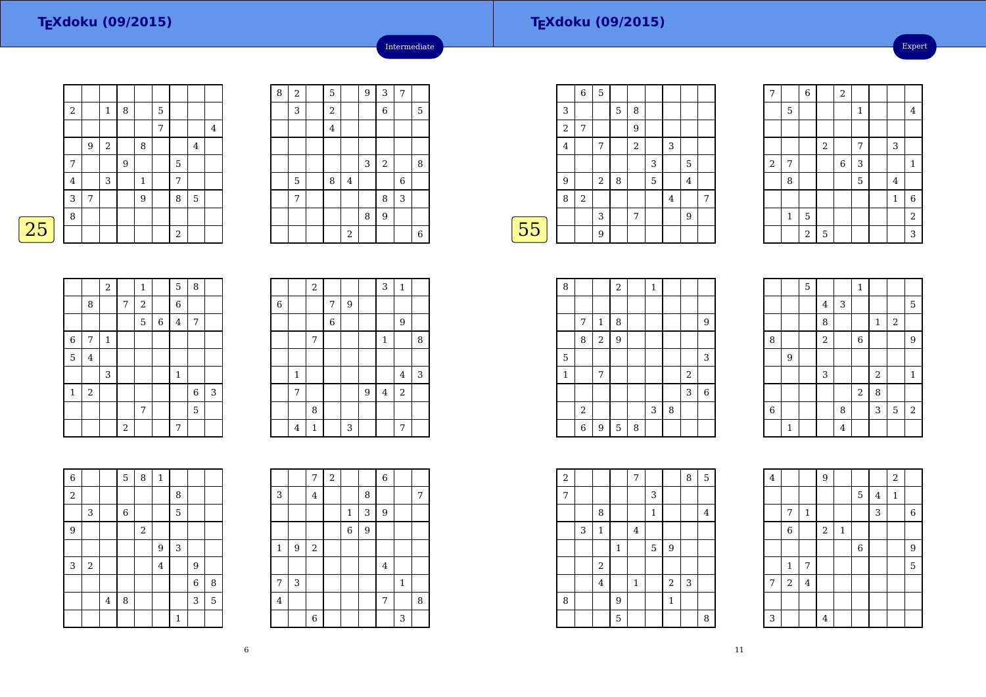25

|   | $\,2$   |   | $\mathbf{1}$ | 8 |              | 5 |                  |                |         |
|---|---------|---|--------------|---|--------------|---|------------------|----------------|---------|
|   |         |   |              |   |              | 7 |                  |                | $\bf 4$ |
|   |         | 9 | $\,2$        |   | 8            |   |                  | $\bf 4$        |         |
|   | 7       |   |              | 9 |              |   | 5                |                |         |
|   | $\bf 4$ |   | 3            |   | $\mathbf{1}$ |   | 7                |                |         |
|   | 3       | 7 |              |   | 9            |   | 8                | $\overline{5}$ |         |
|   | 8       |   |              |   |              |   |                  |                |         |
|   |         |   |              |   |              |   | $\boldsymbol{2}$ |                |         |
| 5 |         |   |              |   |              |   |                  |                |         |

| 8 | $\,2$ | 5                       |                | 9 | 3          | 7           |   |
|---|-------|-------------------------|----------------|---|------------|-------------|---|
|   | 3     | $\sqrt{2}$              |                |   | 6          |             | 5 |
|   |       | $\overline{\mathbf{4}}$ |                |   |            |             |   |
|   |       |                         |                |   |            |             |   |
|   |       |                         |                | 3 | $\sqrt{2}$ |             | 8 |
|   | 5     | 8                       | $\overline{4}$ |   |            | $\,$ 6 $\,$ |   |
|   | 7     |                         |                |   | 8          | 3           |   |
|   |       |                         |                | 8 | 9          |             |   |
|   |       |                         | $\,2$          |   |            |             | 6 |

Intermediate

|    |   | 6          | 5     |   |   |   |   |                |   |
|----|---|------------|-------|---|---|---|---|----------------|---|
|    | 3 |            |       | 5 | 8 |   |   |                |   |
|    | 2 | 7          |       |   | 9 |   |   |                |   |
|    | 4 |            | 7     |   | 2 |   | 3 |                |   |
|    |   |            |       |   |   | 3 |   | 5              |   |
|    | 9 |            | $\,2$ | 8 |   | 5 |   | $\overline{4}$ |   |
|    | 8 | $\sqrt{2}$ |       |   |   |   | 4 |                | 7 |
|    |   |            | 3     |   | 7 |   |   | 9              |   |
| 55 |   |            | 9     |   |   |   |   |                |   |
|    |   |            |       |   |   |   |   |                |   |

| 7                       |         | $\overline{6}$ |       | $\overline{2}$ |              |         |                |
|-------------------------|---------|----------------|-------|----------------|--------------|---------|----------------|
|                         | 5       |                |       |                | $\mathbf{1}$ |         | $\overline{4}$ |
|                         |         |                |       |                |              |         |                |
|                         |         |                | $\,2$ |                | 7            | 3       |                |
| $\overline{\mathbf{c}}$ | 7       |                |       | 6              | 3            |         | $\mathbf{1}$   |
|                         | 8       |                |       |                | 5            | $\bf 4$ |                |
|                         |         |                |       |                |              | $\,1\,$ | $\overline{6}$ |
|                         | $\,1\,$ | 5              |       |                |              |         | $\overline{2}$ |
|                         |         | $\overline{2}$ | 5     |                |              |         | 3              |

|             |                | $\overline{c}$ |       | $\mathbf{1}$   |             | 5              | 8     |   |
|-------------|----------------|----------------|-------|----------------|-------------|----------------|-------|---|
|             | 8              |                | 7     | $\,2$          |             | $\overline{6}$ |       |   |
|             |                |                |       | 5              | $\,$ 6 $\,$ | $\overline{4}$ | 7     |   |
| 6           | 7              | $\mathbf 1$    |       |                |             |                |       |   |
| 5           | $\overline{4}$ |                |       |                |             |                |       |   |
|             |                | 3              |       |                |             | $\mathbf 1$    |       |   |
| $\mathbf 1$ | $\sqrt{2}$     |                |       |                |             |                | $\,6$ | 3 |
|             |                |                |       | $\overline{7}$ |             |                | 5     |   |
|             |                |                | $\,2$ |                |             | 7              |       |   |

|            |              | $\overline{a}$ |                |   |                | $\overline{3}$ | $\mathbf{1}$   |   |
|------------|--------------|----------------|----------------|---|----------------|----------------|----------------|---|
| $\sqrt{6}$ |              |                | 7              | 9 |                |                |                |   |
|            |              |                | $\overline{6}$ |   |                |                | 9              |   |
|            |              | 7              |                |   |                | $\mathbf 1$    |                | 8 |
|            |              |                |                |   |                |                |                |   |
|            | $\mathbf{1}$ |                |                |   |                |                | $\overline{4}$ | 3 |
|            | 7            |                |                |   | $\overline{9}$ | $\bf 4$        | $\overline{2}$ |   |
|            |              | 8              |                |   |                |                |                |   |
|            | 4            | $\mathbf 1$    |                | 3 |                |                | 7              |   |

| $\overline{6}$ |       |         | $\overline{5}$ | 8     | $\mathbf{1}$   |              |                  |   |
|----------------|-------|---------|----------------|-------|----------------|--------------|------------------|---|
| $\overline{a}$ |       |         |                |       |                | 8            |                  |   |
|                | 3     |         | 6              |       |                | 5            |                  |   |
| $\overline{9}$ |       |         |                | $\,2$ |                |              |                  |   |
|                |       |         |                |       | 9              | 3            |                  |   |
| 3              | $\,2$ |         |                |       | $\overline{4}$ |              | 9                |   |
|                |       |         |                |       |                |              | $\boldsymbol{6}$ | 8 |
|                |       | $\bf 4$ | 8              |       |                |              | 3                | 5 |
|                |       |         |                |       |                | $\mathbf{1}$ |                  |   |

|              |   | $\overline{7}$ | $\overline{c}$ |              |   | $\overline{6}$ |             |   |
|--------------|---|----------------|----------------|--------------|---|----------------|-------------|---|
| 3            |   | $\overline{4}$ |                |              | 8 |                |             | 7 |
|              |   |                |                | $\mathbf{1}$ | 3 | 9              |             |   |
|              |   |                |                | $\,$ 6 $\,$  | 9 |                |             |   |
| $\mathbf{1}$ | 9 | $\,2$          |                |              |   |                |             |   |
|              |   |                |                |              |   | $\bf 4$        |             |   |
| 7            | 3 |                |                |              |   |                | $\mathbf 1$ |   |
| $\bf{4}$     |   |                |                |              |   | 7              |             | 8 |
|              |   | $\overline{6}$ |                |              |   |                | 3           |   |

| 8 |       |                  | $\boldsymbol{2}$ |   | $\mathbf{1}$ |   |                |                |
|---|-------|------------------|------------------|---|--------------|---|----------------|----------------|
|   |       |                  |                  |   |              |   |                |                |
|   | 7     | $\mathbf 1$      | 8                |   |              |   |                | 9              |
|   | 8     | $\,2$            | 9                |   |              |   |                |                |
| 5 |       |                  |                  |   |              |   |                | 3              |
| 1 |       | 7                |                  |   |              |   | $\overline{2}$ |                |
|   |       |                  |                  |   |              |   | 3              | $\overline{6}$ |
|   | $\,2$ |                  |                  |   | 3            | 8 |                |                |
|   | 6     | $\boldsymbol{9}$ | $\mathbf 5$      | 8 |              |   |                |                |

|             |              | 5 |                |                | $\mathbf{1}$   |                |            |                |
|-------------|--------------|---|----------------|----------------|----------------|----------------|------------|----------------|
|             |              |   | $\overline{4}$ | 3              |                |                |            | 5              |
|             |              |   | 8              |                |                | $\mathbf 1$    | $\sqrt{2}$ |                |
| 8           |              |   | $\overline{2}$ |                | $\overline{6}$ |                |            | 9              |
|             | 9            |   |                |                |                |                |            |                |
|             |              |   | 3              |                |                | $\overline{2}$ |            | $\mathbf{1}$   |
|             |              |   |                |                | $\,2$          | 8              |            |                |
| $\,$ 6 $\,$ |              |   |                | 8              |                | 3              | 5          | $\overline{2}$ |
|             | $\mathbf{1}$ |   |                | $\overline{4}$ |                |                |            |                |

| $\boldsymbol{2}$ |   |                |         | 7              |              |                | 8 | 5       |  |
|------------------|---|----------------|---------|----------------|--------------|----------------|---|---------|--|
| 7                |   |                |         |                | 3            |                |   |         |  |
|                  |   | 8              |         |                | $\mathbf{1}$ |                |   | $\bf 4$ |  |
|                  | 3 | $\mathbf{1}$   |         | $\overline{4}$ |              |                |   |         |  |
|                  |   |                | $\,1\,$ |                | 5            | $\overline{9}$ |   |         |  |
|                  |   | $\,2$          |         |                |              |                |   |         |  |
|                  |   | $\overline{4}$ |         | $\mathbf{1}$   |              | $\overline{2}$ | 3 |         |  |
| 8                |   |                | 9       |                |              | $\mathbf{1}$   |   |         |  |
|                  |   |                | 5       |                |              |                |   | 8       |  |

| $\bf 4$ |             |                | $\overline{9}$ |              |                |         | $\overline{a}$ |                |
|---------|-------------|----------------|----------------|--------------|----------------|---------|----------------|----------------|
|         |             |                |                |              | $\mathbf 5$    | $\bf 4$ | $\,1\,$        |                |
|         | 7           | $\mathbf 1$    |                |              |                | 3       |                | $\overline{6}$ |
|         | $\,$ 6 $\,$ |                | $\sqrt{2}$     | $\mathbf{1}$ |                |         |                |                |
|         |             |                |                |              | $\overline{6}$ |         |                | 9              |
|         | $\,1\,$     | 7              |                |              |                |         |                | 5              |
| 7       | $\,2$       | $\overline{4}$ |                |              |                |         |                |                |
|         |             |                |                |              |                |         |                |                |
| 3       |             |                | 4              |              |                |         |                |                |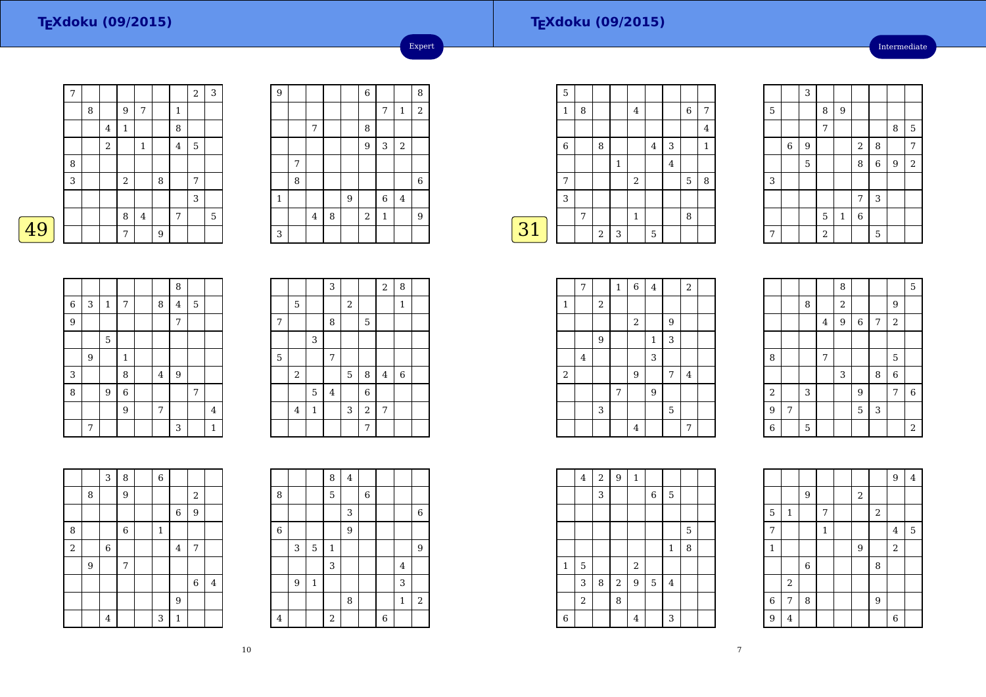Intermediate

|   | 7 |   |            |                |         |   |   | $\overline{2}$ | 3 |
|---|---|---|------------|----------------|---------|---|---|----------------|---|
|   |   | 8 |            | 9              | 7       |   | 1 |                |   |
|   |   |   | $\bf 4$    | $\,1\,$        |         |   | 8 |                |   |
|   |   |   | $\sqrt{2}$ |                | 1       |   | 4 | 5              |   |
|   | 8 |   |            |                |         |   |   |                |   |
|   | 3 |   |            | $\overline{a}$ |         | 8 |   | 7              |   |
|   |   |   |            |                |         |   |   | 3              |   |
|   |   |   |            | 8              | $\bf 4$ |   | 7 |                | 5 |
| 9 |   |   |            | 7              |         | 9 |   |                |   |

| 9           |   |                |   |   | $\overline{6}$ |                |                         | 8              |
|-------------|---|----------------|---|---|----------------|----------------|-------------------------|----------------|
|             |   |                |   |   |                | 7              | $\mathbf{1}$            | $\overline{c}$ |
|             |   | 7              |   |   | 8              |                |                         |                |
|             |   |                |   |   | 9              | 3              | $\overline{\mathbf{c}}$ |                |
|             | 7 |                |   |   |                |                |                         |                |
|             | 8 |                |   |   |                |                |                         | $\,$ 6 $\,$    |
| $\mathbf 1$ |   |                |   | 9 |                | $\overline{6}$ | $\bf 4$                 |                |
|             |   | $\overline{4}$ | 8 |   | $\,2$          | $\mathbf 1$    |                         | 9              |
| 3           |   |                |   |   |                |                |                         |                |

Expert

|    | 5           |   |                |   |              |                |                |   |              |
|----|-------------|---|----------------|---|--------------|----------------|----------------|---|--------------|
|    | 1           | 8 |                |   | 4            |                |                | 6 | 7            |
|    |             |   |                |   |              |                |                |   | 4            |
|    | $\,$ 6 $\,$ |   | 8              |   |              | $\overline{4}$ | 3              |   | $\mathbf{1}$ |
|    |             |   |                | 1 |              |                | $\overline{4}$ |   |              |
|    | 7           |   |                |   | $\sqrt{2}$   |                |                | 5 | 8            |
|    | 3           |   |                |   |              |                |                |   |              |
|    |             | 7 |                |   | $\mathbf{1}$ |                |                | 8 |              |
| 31 |             |   | $\overline{2}$ | 3 |              | 5              |                |   |              |
|    |             |   |                |   |              |                |                |   |              |

|   |             | 3 |                |              |                |                  |                |                |
|---|-------------|---|----------------|--------------|----------------|------------------|----------------|----------------|
| 5 |             |   | 8              | 9            |                |                  |                |                |
|   |             |   | 7              |              |                |                  | 8              | 5              |
|   | $\,$ 6 $\,$ | 9 |                |              | $\sqrt{2}$     | 8                |                | 7              |
|   |             | 5 |                |              | 8              | $\boldsymbol{6}$ | $\overline{9}$ | $\overline{a}$ |
| 3 |             |   |                |              |                |                  |                |                |
|   |             |   |                |              | 7              | 3                |                |                |
|   |             |   | 5              | $\mathbf{1}$ | $\overline{6}$ |                  |                |                |
| 7 |             |   | $\overline{2}$ |              |                | 5                |                |                |

|   |   |             |                |                | 8              |   |                |
|---|---|-------------|----------------|----------------|----------------|---|----------------|
| 6 | 3 | $\mathbf 1$ | 7              | 8              | $\overline{4}$ | 5 |                |
| 9 |   |             |                |                | 7              |   |                |
|   |   | 5           |                |                |                |   |                |
|   | 9 |             | $\mathbf{1}$   |                |                |   |                |
| 3 |   |             | 8              | $\overline{4}$ | 9              |   |                |
| 8 |   | 9           | $\overline{6}$ |                |                | 7 |                |
|   |   |             | $\overline{9}$ | 7              |                |   | $\overline{4}$ |
|   | 7 |             |                |                | 3              |   | $\mathbf{1}$   |

|   |                  |              | 3       |            |                | $\overline{a}$ | 8            |  |
|---|------------------|--------------|---------|------------|----------------|----------------|--------------|--|
|   | $\mathbf 5$      |              |         | $\sqrt{2}$ |                |                | $\mathbf{1}$ |  |
| 7 |                  |              | 8       |            | 5              |                |              |  |
|   |                  | 3            |         |            |                |                |              |  |
| 5 |                  |              | 7       |            |                |                |              |  |
|   | $\boldsymbol{2}$ |              |         | 5          | 8              | 4              | $\,$ 6       |  |
|   |                  | 5            | $\bf 4$ |            | $\overline{6}$ |                |              |  |
|   | $\bf 4$          | $\mathbf{1}$ |         | 3          | $\overline{2}$ | $\overline{7}$ |              |  |
|   |                  |              |         |            | 7              |                |              |  |

|                |                  | 3           | 8                | $\overline{6}$ |              |                         |   |
|----------------|------------------|-------------|------------------|----------------|--------------|-------------------------|---|
|                | 8                |             | $\overline{9}$   |                |              | $\overline{\mathbf{c}}$ |   |
|                |                  |             |                  |                | $\,6$        | 9                       |   |
| 8              |                  |             | $\boldsymbol{6}$ | $\mathbf 1$    |              |                         |   |
| $\overline{2}$ |                  | $\,$ 6 $\,$ |                  |                | $\bf 4$      | 7                       |   |
|                | $\boldsymbol{9}$ |             | 7                |                |              |                         |   |
|                |                  |             |                  |                |              | $\overline{6}$          | 4 |
|                |                  |             |                  |                | 9            |                         |   |
|                |                  | 4           |                  | 3              | $\mathbf{1}$ |                         |   |

|                |   |              | 8     | $\overline{4}$ |             |   |              |             |
|----------------|---|--------------|-------|----------------|-------------|---|--------------|-------------|
| 8              |   |              | 5     |                | $\,$ 6 $\,$ |   |              |             |
|                |   |              |       | 3              |             |   |              | $\,$ 6 $\,$ |
| $\overline{6}$ |   |              |       | 9              |             |   |              |             |
|                | 3 | $\mathbf 5$  | 1     |                |             |   |              | 9           |
|                |   |              | 3     |                |             |   | 4            |             |
|                | 9 | $\mathbf{1}$ |       |                |             |   | 3            |             |
|                |   |              |       | 8              |             |   | $\mathbf{1}$ | $\sqrt{2}$  |
| 4              |   |              | $\,2$ |                |             | 6 |              |             |

|              | 7              |       | $\mathbf{1}$ | $\,$ 6 $\,$    | $\bf 4$      |                | $\sqrt{2}$     |  |
|--------------|----------------|-------|--------------|----------------|--------------|----------------|----------------|--|
| $\mathbf{1}$ |                | $\,2$ |              |                |              |                |                |  |
|              |                |       |              | 2              |              | 9              |                |  |
|              |                | 9     |              |                | $\mathbf{1}$ | 3              |                |  |
|              | $\overline{4}$ |       |              |                | 3            |                |                |  |
| $\,2$        |                |       |              | 9              |              | 7              | $\overline{4}$ |  |
|              |                |       | 7            |                | 9            |                |                |  |
|              |                | 3     |              |                |              | $\overline{5}$ |                |  |
|              |                |       |              | $\overline{4}$ |              |                | 7              |  |

|                |   |   |                | 8              |             |   |                         | 5              |
|----------------|---|---|----------------|----------------|-------------|---|-------------------------|----------------|
|                |   | 8 |                | $\overline{a}$ |             |   | 9                       |                |
|                |   |   | $\bf 4$        | 9              | $\,$ 6 $\,$ | 7 | $\overline{\mathbf{c}}$ |                |
|                |   |   |                |                |             |   |                         |                |
| 8              |   |   | $\overline{7}$ |                |             |   | 5                       |                |
|                |   |   |                | 3              |             | 8 | $\overline{6}$          |                |
| $\sqrt{2}$     |   | 3 |                |                | 9           |   | 7                       | $\overline{6}$ |
| $\overline{9}$ | 7 |   |                |                | 5           | 3 |                         |                |
| $\overline{6}$ |   | 5 |                |                |             |   |                         | $\overline{a}$ |

|         | 4     | $\,2$ | $\overline{9}$ | $\mathbf{1}$ |             |              |   |  |
|---------|-------|-------|----------------|--------------|-------------|--------------|---|--|
|         |       | 3     |                |              | $\,$ 6 $\,$ | $\mathbf 5$  |   |  |
|         |       |       |                |              |             |              |   |  |
|         |       |       |                |              |             |              | 5 |  |
|         |       |       |                |              |             | $\mathbf{1}$ | 8 |  |
| $\,1\,$ | 5     |       |                | $\,2$        |             |              |   |  |
|         | 3     | 8     | $\sqrt{2}$     | 9            | $\mathbf 5$ | $\bf 4$      |   |  |
|         | $\,2$ |       | 8              |              |             |              |   |  |
| 6       |       |       |                | $\bf 4$      |             | 3            |   |  |

|                |              |                |              |                |                | 9              | $\overline{4}$ |
|----------------|--------------|----------------|--------------|----------------|----------------|----------------|----------------|
|                |              | 9              |              | $\sqrt{2}$     |                |                |                |
| 5              | $\mathbf{1}$ |                | 7            |                | $\sqrt{2}$     |                |                |
| $\overline{7}$ |              |                | $\mathbf{1}$ |                |                | $\bf 4$        | $\overline{5}$ |
| $\mathbf{1}$   |              |                |              | $\overline{9}$ |                | $\overline{a}$ |                |
|                |              | $\overline{6}$ |              |                | 8              |                |                |
|                | $\sqrt{2}$   |                |              |                |                |                |                |
| 6              | 7            | 8              |              |                | $\overline{9}$ |                |                |
| 9              | 4            |                |              |                |                | 6              |                |